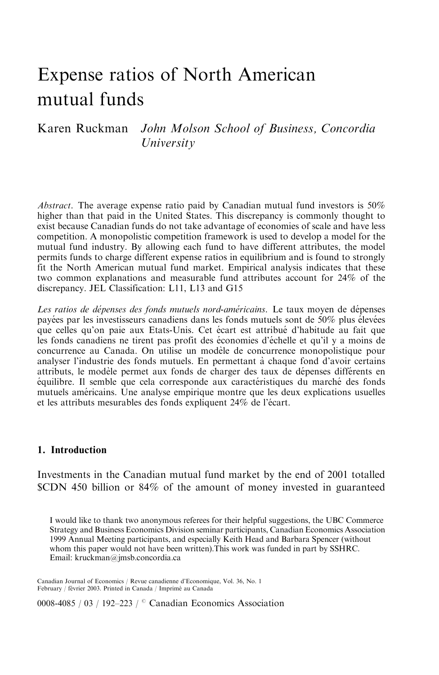# Expense ratios of North American mutual funds

# Karen Ruckman John Molson School of Business, Concordia University

Abstract. The average expense ratio paid by Canadian mutual fund investors is 50% higher than that paid in the United States. This discrepancy is commonly thought to exist because Canadian funds do not take advantage of economies of scale and have less competition. A monopolistic competition framework is used to develop a model for the mutual fund industry. By allowing each fund to have different attributes, the model permits funds to charge different expense ratios in equilibrium and is found to strongly fit the North American mutual fund market. Empirical analysis indicates that these two common explanations and measurable fund attributes account for 24% of the discrepancy. JEL Classification: L11, L13 and G15

Les ratios de dépenses des fonds mutuels nord-américains. Le taux moyen de dépenses payées par les investisseurs canadiens dans les fonds mutuels sont de  $50\%$  plus élevées que celles qu'on paie aux Etats-Unis. Cet écart est attribué d'habitude au fait que les fonds canadiens ne tirent pas profit des économies d'échelle et qu'il y a moins de concurrence au Canada. On utilise un modèle de concurrence monopolistique pour analyser l'industrie des fonds mutuels. En permettant a` chaque fond d'avoir certains attributs, le modèle permet aux fonds de charger des taux de dépenses différents en équilibre. Il semble que cela corresponde aux caractéristiques du marché des fonds mutuels américains. Une analyse empirique montre que les deux explications usuelles et les attributs mesurables des fonds expliquent 24% de l'écart.

## 1. Introduction

Investments in the Canadian mutual fund market by the end of 2001 totalled \$CDN 450 billion or 84% of the amount of money invested in guaranteed

I would like to thank two anonymous referees for their helpful suggestions, the UBC Commerce Strategy and Business Economics Division seminar participants, Canadian Economics Association 1999 Annual Meeting participants, and especially Keith Head and Barbara Spencer (without whom this paper would not have been written). This work was funded in part by SSHRC. Email: kruckman@jmsb.concordia.ca

Canadian Journal of Economics / Revue canadienne d'Economique, Vol. 36, No. 1<br>February / février 2003. Printed in Canada / Imprimé au Canada

0008-4085 / 03 / 192-223 / © Canadian Economics Association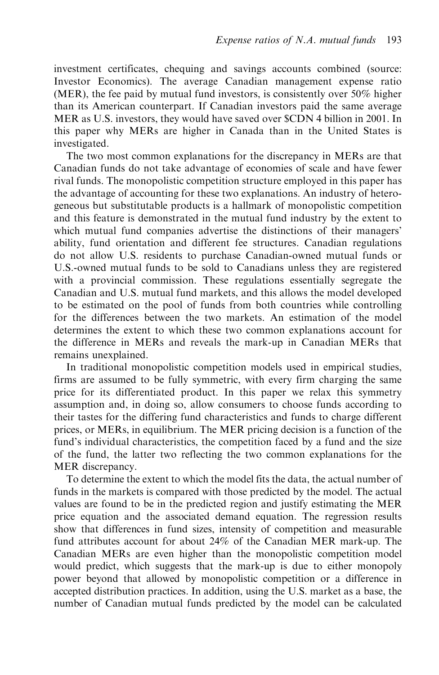investment certificates, chequing and savings accounts combined (source: Investor Economics). The average Canadian management expense ratio (MER), the fee paid by mutual fund investors, is consistently over 50% higher than its American counterpart. If Canadian investors paid the same average MER as U.S. investors, they would have saved over \$CDN 4 billion in 2001. In this paper why MERs are higher in Canada than in the United States is investigated.

The two most common explanations for the discrepancy in MERs are that Canadian funds do not take advantage of economies of scale and have fewer rival funds. The monopolistic competition structure employed in this paper has the advantage of accounting for these two explanations. An industry of heterogeneous but substitutable products is a hallmark of monopolistic competition and this feature is demonstrated in the mutual fund industry by the extent to which mutual fund companies advertise the distinctions of their managers' ability, fund orientation and different fee structures. Canadian regulations do not allow U.S. residents to purchase Canadian-owned mutual funds or U.S.-owned mutual funds to be sold to Canadians unless they are registered with a provincial commission. These regulations essentially segregate the Canadian and U.S. mutual fund markets, and this allows the model developed to be estimated on the pool of funds from both countries while controlling for the differences between the two markets. An estimation of the model determines the extent to which these two common explanations account for the difference in MERs and reveals the mark-up in Canadian MERs that remains unexplained.

In traditional monopolistic competition models used in empirical studies, firms are assumed to be fully symmetric, with every firm charging the same price for its differentiated product. In this paper we relax this symmetry assumption and, in doing so, allow consumers to choose funds according to their tastes for the differing fund characteristics and funds to charge different prices, or MERs, in equilibrium. The MER pricing decision is a function of the fund's individual characteristics, the competition faced by a fund and the size of the fund, the latter two reflecting the two common explanations for the MER discrepancy.

To determine the extent to which the model fits the data, the actual number of funds in the markets is compared with those predicted by the model. The actual values are found to be in the predicted region and justify estimating the MER price equation and the associated demand equation. The regression results show that differences in fund sizes, intensity of competition and measurable fund attributes account for about 24% of the Canadian MER mark-up. The Canadian MERs are even higher than the monopolistic competition model would predict, which suggests that the mark-up is due to either monopoly power beyond that allowed by monopolistic competition or a difference in accepted distribution practices. In addition, using the U.S. market as a base, the number of Canadian mutual funds predicted by the model can be calculated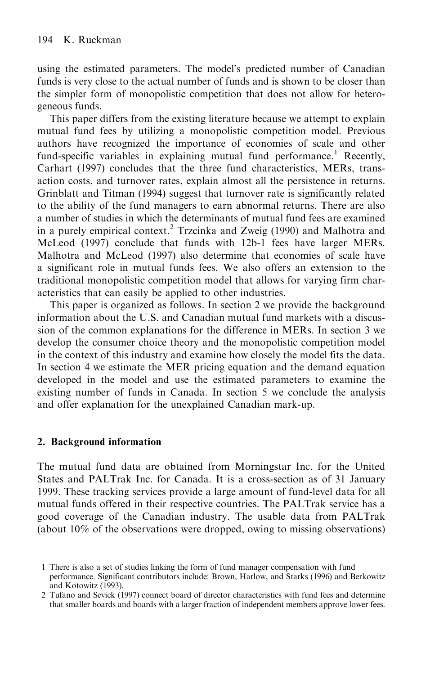using the estimated parameters. The model's predicted number of Canadian funds is very close to the actual number of funds and is shown to be closer than the simpler form of monopolistic competition that does not allow for heterogeneous funds.

This paper differs from the existing literature because we attempt to explain mutual fund fees by utilizing a monopolistic competition model. Previous authors have recognized the importance of economies of scale and other fund-specific variables in explaining mutual fund performance.<sup>1</sup> Recently, Carhart (1997) concludes that the three fund characteristics, MERs, transaction costs, and turnover rates, explain almost all the persistence in returns. Grinblatt and Titman (1994) suggest that turnover rate is significantly related to the ability of the fund managers to earn abnormal returns. There are also a number of studies in which the determinants of mutual fund fees are examined in a purely empirical context.<sup>2</sup> Trzcinka and Zweig (1990) and Malhotra and McLeod (1997) conclude that funds with 12b-1 fees have larger MERs. Malhotra and McLeod (1997) also determine that economies of scale have a significant role in mutual funds fees. We also offers an extension to the traditional monopolistic competition model that allows for varying firm characteristics that can easily be applied to other industries.

This paper is organized as follows. In section 2 we provide the background information about the U.S. and Canadian mutual fund markets with a discussion of the common explanations for the difference in MERs. In section 3 we develop the consumer choice theory and the monopolistic competition model in the context of this industry and examine how closely the model fits the data. In section 4 we estimate the MER pricing equation and the demand equation developed in the model and use the estimated parameters to examine the existing number of funds in Canada. In section 5 we conclude the analysis and offer explanation for the unexplained Canadian mark-up.

## 2. Background information

The mutual fund data are obtained from Morningstar Inc. for the United States and PALTrak Inc. for Canada. It is a cross-section as of 31 January 1999. These tracking services provide a large amount of fund-level data for all mutual funds offered in their respective countries. The PALTrak service has a good coverage of the Canadian industry. The usable data from PALTrak (about 10% of the observations were dropped, owing to missing observations)

<sup>1</sup> There is also a set of studies linking the form of fund manager compensation with fund performance. Significant contributors include: Brown, Harlow, and Starks (1996) and Berkowitz and Kotowitz (1993).

<sup>2</sup> Tufano and Sevick (1997) connect board of director characteristics with fund fees and determine that smaller boards and boards with a larger fraction of independent members approve lower fees.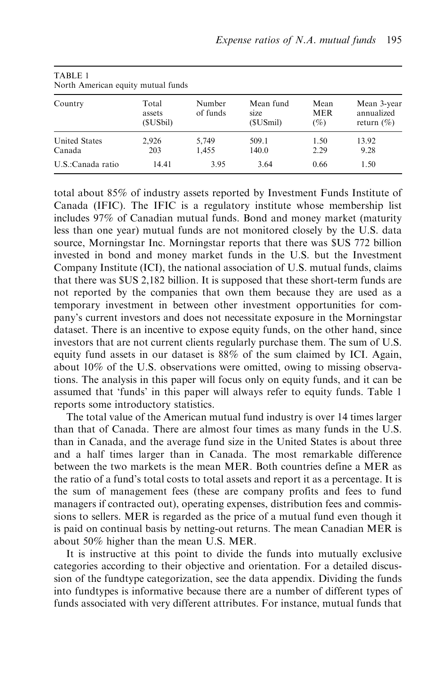| North American equity mutual funds |                             |                    |                                |                           |                                            |
|------------------------------------|-----------------------------|--------------------|--------------------------------|---------------------------|--------------------------------------------|
| Country                            | Total<br>assets<br>(SUSbil) | Number<br>of funds | Mean fund<br>size<br>(\$USmil) | Mean<br><b>MER</b><br>(%) | Mean 3-year<br>annualized<br>return $(\%)$ |
| United States<br>Canada            | 2.926<br>203                | 5.749<br>1.455     | 509.1<br>140.0                 | 1.50<br>2.29              | 13.92<br>9.28                              |
| U.S.:Canada ratio                  | 14.41                       | 3.95               | 3.64                           | 0.66                      | 1.50                                       |

| TABLE 1                            |  |  |
|------------------------------------|--|--|
| North American equity mutual funds |  |  |

total about 85% of industry assets reported by Investment Funds Institute of Canada (IFIC). The IFIC is a regulatory institute whose membership list includes 97% of Canadian mutual funds. Bond and money market (maturity less than one year) mutual funds are not monitored closely by the U.S. data source, Morningstar Inc. Morningstar reports that there was \$US 772 billion invested in bond and money market funds in the U.S. but the Investment Company Institute (ICI), the national association of U.S. mutual funds, claims that there was \$US 2,182 billion. It is supposed that these short-term funds are not reported by the companies that own them because they are used as a temporary investment in between other investment opportunities for company's current investors and does not necessitate exposure in the Morningstar dataset. There is an incentive to expose equity funds, on the other hand, since investors that are not current clients regularly purchase them. The sum of U.S. equity fund assets in our dataset is 88% of the sum claimed by ICI. Again, about 10% of the U.S. observations were omitted, owing to missing observations. The analysis in this paper will focus only on equity funds, and it can be assumed that 'funds' in this paper will always refer to equity funds. Table 1 reports some introductory statistics.

The total value of the American mutual fund industry is over 14 times larger than that of Canada. There are almost four times as many funds in the U.S. than in Canada, and the average fund size in the United States is about three and a half times larger than in Canada. The most remarkable difference between the two markets is the mean MER. Both countries define a MER as the ratio of a fund's total costs to total assets and report it as a percentage. It is the sum of management fees (these are company profits and fees to fund managers if contracted out), operating expenses, distribution fees and commissions to sellers. MER is regarded as the price of a mutual fund even though it is paid on continual basis by netting-out returns. The mean Canadian MER is about 50% higher than the mean U.S. MER.

It is instructive at this point to divide the funds into mutually exclusive categories according to their objective and orientation. For a detailed discussion of the fundtype categorization, see the data appendix. Dividing the funds into fundtypes is informative because there are a number of different types of funds associated with very different attributes. For instance, mutual funds that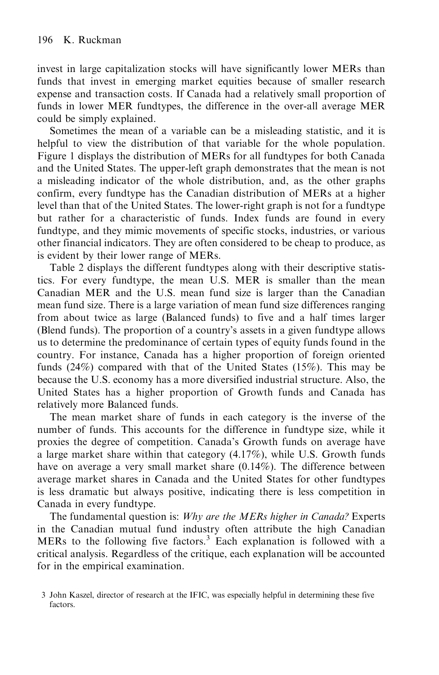invest in large capitalization stocks will have significantly lower MERs than funds that invest in emerging market equities because of smaller research expense and transaction costs. If Canada had a relatively small proportion of funds in lower MER fundtypes, the difference in the over-all average MER could be simply explained.

Sometimes the mean of a variable can be a misleading statistic, and it is helpful to view the distribution of that variable for the whole population. Figure 1 displays the distribution of MERs for all fundtypes for both Canada and the United States. The upper-left graph demonstrates that the mean is not a misleading indicator of the whole distribution, and, as the other graphs confirm, every fundtype has the Canadian distribution of MERs at a higher level than that of the United States. The lower-right graph is not for a fundtype but rather for a characteristic of funds. Index funds are found in every fundtype, and they mimic movements of specific stocks, industries, or various other financial indicators. They are often considered to be cheap to produce, as is evident by their lower range of MERs.

Table 2 displays the different fundtypes along with their descriptive statistics. For every fundtype, the mean U.S. MER is smaller than the mean Canadian MER and the U.S. mean fund size is larger than the Canadian mean fund size. There is a large variation of mean fund size differences ranging from about twice as large (Balanced funds) to five and a half times larger (Blend funds). The proportion of a country's assets in a given fundtype allows us to determine the predominance of certain types of equity funds found in the country. For instance, Canada has a higher proportion of foreign oriented funds (24%) compared with that of the United States (15%). This may be because the U.S. economy has a more diversified industrial structure. Also, the United States has a higher proportion of Growth funds and Canada has relatively more Balanced funds.

The mean market share of funds in each category is the inverse of the number of funds. This accounts for the difference in fundtype size, while it proxies the degree of competition. Canada's Growth funds on average have a large market share within that category (4.17%), while U.S. Growth funds have on average a very small market share (0.14%). The difference between average market shares in Canada and the United States for other fundtypes is less dramatic but always positive, indicating there is less competition in Canada in every fundtype.

The fundamental question is: Why are the MERs higher in Canada? Experts in the Canadian mutual fund industry often attribute the high Canadian MERs to the following five factors.<sup>3</sup> Each explanation is followed with a critical analysis. Regardless of the critique, each explanation will be accounted for in the empirical examination.

<sup>3</sup> John Kaszel, director of research at the IFIC, was especially helpful in determining these five factors.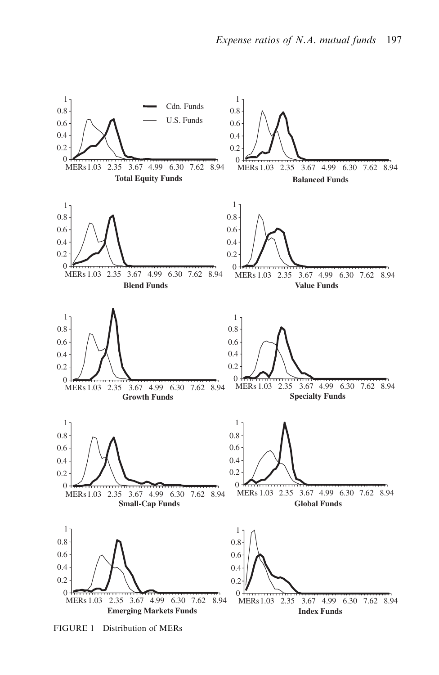

FIGURE 1 Distribution of MERs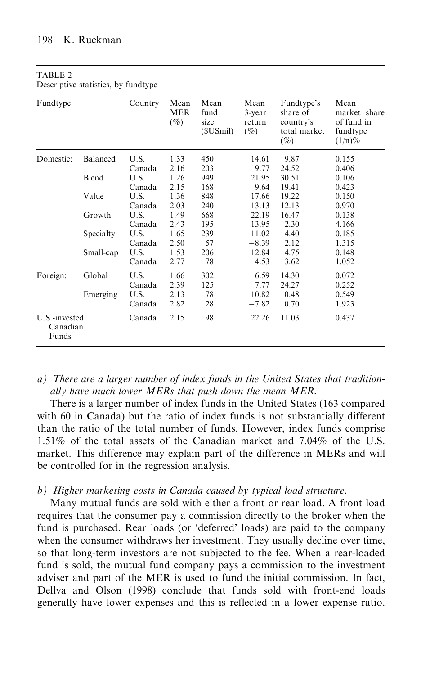|                                    | $P$ cscriptive statistics, by rundrype |         |                       |                                   |                                    |                                                            |                                                             |
|------------------------------------|----------------------------------------|---------|-----------------------|-----------------------------------|------------------------------------|------------------------------------------------------------|-------------------------------------------------------------|
| Fundtype                           |                                        | Country | Mean<br>MER<br>$(\%)$ | Mean<br>fund<br>size<br>(\$USmil) | Mean<br>3-year<br>return<br>$(\%)$ | Fundtype's<br>share of<br>country's<br>total market<br>(%) | Mean<br>market share<br>of fund in<br>fundtype<br>$(1/n)\%$ |
| Domestic:                          | Balanced                               | U.S.    | 1.33                  | 450                               | 14.61                              | 9.87                                                       | 0.155                                                       |
|                                    |                                        | Canada  | 2.16                  | 203                               | 9.77                               | 24.52                                                      | 0.406                                                       |
|                                    | Blend                                  | U.S.    | 1.26                  | 949                               | 21.95                              | 30.51                                                      | 0.106                                                       |
|                                    |                                        | Canada  | 2.15                  | 168                               | 9.64                               | 19.41                                                      | 0.423                                                       |
|                                    | Value                                  | U.S.    | 1.36                  | 848                               | 17.66                              | 19.22                                                      | 0.150                                                       |
|                                    |                                        | Canada  | 2.03                  | 240                               | 13.13                              | 12.13                                                      | 0.970                                                       |
|                                    | Growth                                 | U.S.    | 1.49                  | 668                               | 22.19                              | 16.47                                                      | 0.138                                                       |
|                                    |                                        | Canada  | 2.43                  | 195                               | 13.95                              | 2.30                                                       | 4.166                                                       |
|                                    | Specialty                              | U.S.    | 1.65                  | 239                               | 11.02                              | 4.40                                                       | 0.185                                                       |
|                                    |                                        | Canada  | 2.50                  | 57                                | $-8.39$                            | 2.12                                                       | 1.315                                                       |
|                                    | Small-cap                              | U.S.    | 1.53                  | 206                               | 12.84                              | 4.75                                                       | 0.148                                                       |
|                                    |                                        | Canada  | 2.77                  | 78                                | 4.53                               | 3.62                                                       | 1.052                                                       |
| Foreign:                           | Global                                 | U.S.    | 1.66                  | 302                               | 6.59                               | 14.30                                                      | 0.072                                                       |
|                                    |                                        | Canada  | 2.39                  | 125                               | 7.77                               | 24.27                                                      | 0.252                                                       |
|                                    | Emerging                               | U.S.    | 2.13                  | 78                                | $-10.82$                           | 0.48                                                       | 0.549                                                       |
|                                    |                                        | Canada  | 2.82                  | 28                                | $-7.82$                            | 0.70                                                       | 1.923                                                       |
| U.S.-invested<br>Canadian<br>Funds |                                        | Canada  | 2.15                  | 98                                | 22.26                              | 11.03                                                      | 0.437                                                       |

TARIE<sub>2</sub>

Descriptive statistics, by fundtype

a) There are a larger number of index funds in the United States that traditionally have much lower MERs that push down the mean MER.

There is a larger number of index funds in the United States (163 compared with 60 in Canada) but the ratio of index funds is not substantially different than the ratio of the total number of funds. However, index funds comprise 1.51% of the total assets of the Canadian market and 7.04% of the U.S. market. This difference may explain part of the difference in MERs and will be controlled for in the regression analysis.

## b) Higher marketing costs in Canada caused by typical load structure.

Many mutual funds are sold with either a front or rear load. A front load requires that the consumer pay a commission directly to the broker when the fund is purchased. Rear loads (or 'deferred' loads) are paid to the company when the consumer withdraws her investment. They usually decline over time, so that long-term investors are not subjected to the fee. When a rear-loaded fund is sold, the mutual fund company pays a commission to the investment adviser and part of the MER is used to fund the initial commission. In fact, Dellva and Olson (1998) conclude that funds sold with front-end loads generally have lower expenses and this is reflected in a lower expense ratio.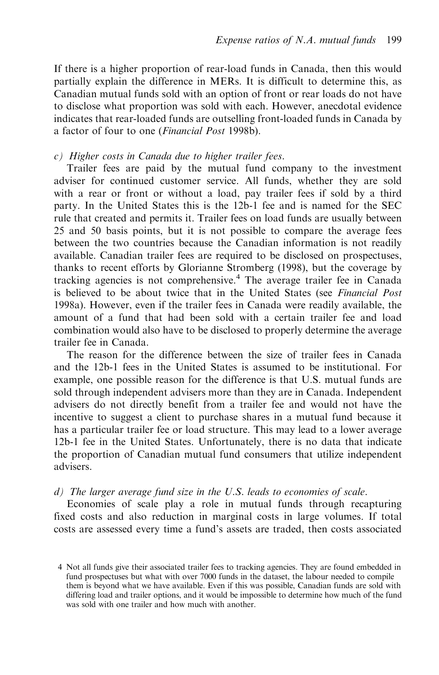If there is a higher proportion of rear-load funds in Canada, then this would partially explain the difference in MERs. It is difficult to determine this, as Canadian mutual funds sold with an option of front or rear loads do not have to disclose what proportion was sold with each. However, anecdotal evidence indicates that rear-loaded funds are outselling front-loaded funds in Canada by a factor of four to one (Financial Post 1998b).

## c) Higher costs in Canada due to higher trailer fees.

Trailer fees are paid by the mutual fund company to the investment adviser for continued customer service. All funds, whether they are sold with a rear or front or without a load, pay trailer fees if sold by a third party. In the United States this is the 12b-1 fee and is named for the SEC rule that created and permits it. Trailer fees on load funds are usually between 25 and 50 basis points, but it is not possible to compare the average fees between the two countries because the Canadian information is not readily available. Canadian trailer fees are required to be disclosed on prospectuses, thanks to recent efforts by Glorianne Stromberg (1998), but the coverage by tracking agencies is not comprehensive.<sup>4</sup> The average trailer fee in Canada is believed to be about twice that in the United States (see Financial Post 1998a). However, even if the trailer fees in Canada were readily available, the amount of a fund that had been sold with a certain trailer fee and load combination would also have to be disclosed to properly determine the average trailer fee in Canada.

The reason for the difference between the size of trailer fees in Canada and the 12b-1 fees in the United States is assumed to be institutional. For example, one possible reason for the difference is that U.S. mutual funds are sold through independent advisers more than they are in Canada. Independent advisers do not directly benefit from a trailer fee and would not have the incentive to suggest a client to purchase shares in a mutual fund because it has a particular trailer fee or load structure. This may lead to a lower average 12b-1 fee in the United States. Unfortunately, there is no data that indicate the proportion of Canadian mutual fund consumers that utilize independent advisers.

## d) The larger average fund size in the U.S. leads to economies of scale.

Economies of scale play a role in mutual funds through recapturing fixed costs and also reduction in marginal costs in large volumes. If total costs are assessed every time a fund's assets are traded, then costs associated

<sup>4</sup> Not all funds give their associated trailer fees to tracking agencies. They are found embedded in fund prospectuses but what with over 7000 funds in the dataset, the labour needed to compile them is beyond what we have available. Even if this was possible, Canadian funds are sold with differing load and trailer options, and it would be impossible to determine how much of the fund was sold with one trailer and how much with another.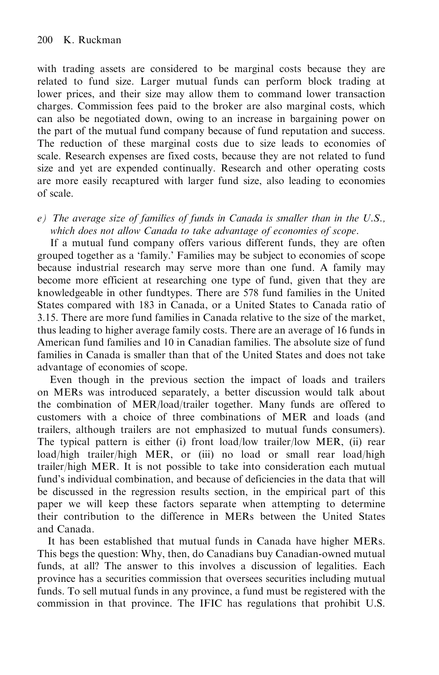with trading assets are considered to be marginal costs because they are related to fund size. Larger mutual funds can perform block trading at lower prices, and their size may allow them to command lower transaction charges. Commission fees paid to the broker are also marginal costs, which can also be negotiated down, owing to an increase in bargaining power on the part of the mutual fund company because of fund reputation and success. The reduction of these marginal costs due to size leads to economies of scale. Research expenses are fixed costs, because they are not related to fund size and yet are expended continually. Research and other operating costs are more easily recaptured with larger fund size, also leading to economies of scale.

e) The average size of families of funds in Canada is smaller than in the U.S., which does not allow Canada to take advantage of economies of scope.

If a mutual fund company offers various different funds, they are often grouped together as a 'family.' Families may be subject to economies of scope because industrial research may serve more than one fund. A family may become more efficient at researching one type of fund, given that they are knowledgeable in other fundtypes. There are 578 fund families in the United States compared with 183 in Canada, or a United States to Canada ratio of 3.15. There are more fund families in Canada relative to the size of the market, thus leading to higher average family costs. There are an average of 16 funds in American fund families and 10 in Canadian families. The absolute size of fund families in Canada is smaller than that of the United States and does not take advantage of economies of scope.

Even though in the previous section the impact of loads and trailers on MERs was introduced separately, a better discussion would talk about the combination of MER/load/trailer together. Many funds are offered to customers with a choice of three combinations of MER and loads (and trailers, although trailers are not emphasized to mutual funds consumers). The typical pattern is either (i) front load/low trailer/low MER, (ii) rear load/high trailer/high MER, or (iii) no load or small rear load/high trailer/high MER. It is not possible to take into consideration each mutual fund's individual combination, and because of deficiencies in the data that will be discussed in the regression results section, in the empirical part of this paper we will keep these factors separate when attempting to determine their contribution to the difference in MERs between the United States and Canada.

It has been established that mutual funds in Canada have higher MERs. This begs the question: Why, then, do Canadians buy Canadian-owned mutual funds, at all? The answer to this involves a discussion of legalities. Each province has a securities commission that oversees securities including mutual funds. To sell mutual funds in any province, a fund must be registered with the commission in that province. The IFIC has regulations that prohibit U.S.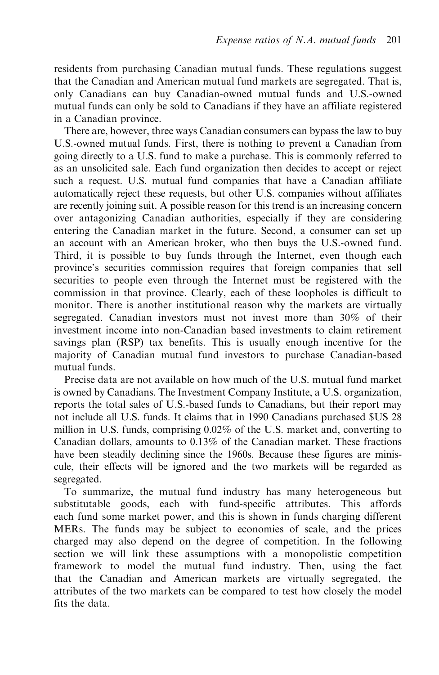residents from purchasing Canadian mutual funds. These regulations suggest that the Canadian and American mutual fund markets are segregated. That is, only Canadians can buy Canadian-owned mutual funds and U.S.-owned mutual funds can only be sold to Canadians if they have an affiliate registered in a Canadian province.

There are, however, three ways Canadian consumers can bypass the law to buy U.S.-owned mutual funds. First, there is nothing to prevent a Canadian from going directly to a U.S. fund to make a purchase. This is commonly referred to as an unsolicited sale. Each fund organization then decides to accept or reject such a request. U.S. mutual fund companies that have a Canadian affiliate automatically reject these requests, but other U.S. companies without affiliates are recently joining suit. A possible reason for this trend is an increasing concern over antagonizing Canadian authorities, especially if they are considering entering the Canadian market in the future. Second, a consumer can set up an account with an American broker, who then buys the U.S.-owned fund. Third, it is possible to buy funds through the Internet, even though each province's securities commission requires that foreign companies that sell securities to people even through the Internet must be registered with the commission in that province. Clearly, each of these loopholes is difficult to monitor. There is another institutional reason why the markets are virtually segregated. Canadian investors must not invest more than 30% of their investment income into non-Canadian based investments to claim retirement savings plan (RSP) tax benefits. This is usually enough incentive for the majority of Canadian mutual fund investors to purchase Canadian-based mutual funds.

Precise data are not available on how much of the U.S. mutual fund market is owned by Canadians. The Investment Company Institute, a U.S. organization, reports the total sales of U.S.-based funds to Canadians, but their report may not include all U.S. funds. It claims that in 1990 Canadians purchased \$US 28 million in U.S. funds, comprising 0.02% of the U.S. market and, converting to Canadian dollars, amounts to 0.13% of the Canadian market. These fractions have been steadily declining since the 1960s. Because these figures are miniscule, their effects will be ignored and the two markets will be regarded as segregated.

To summarize, the mutual fund industry has many heterogeneous but substitutable goods, each with fund-specific attributes. This affords each fund some market power, and this is shown in funds charging different MERs. The funds may be subject to economies of scale, and the prices charged may also depend on the degree of competition. In the following section we will link these assumptions with a monopolistic competition framework to model the mutual fund industry. Then, using the fact that the Canadian and American markets are virtually segregated, the attributes of the two markets can be compared to test how closely the model fits the data.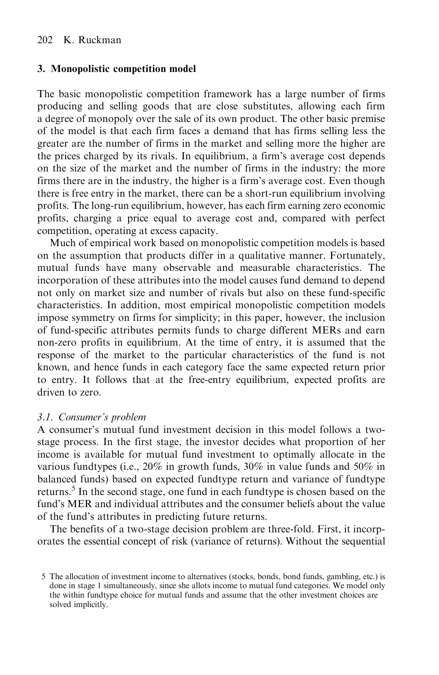## 3. Monopolistic competition model

The basic monopolistic competition framework has a large number of firms producing and selling goods that are close substitutes, allowing each firm a degree of monopoly over the sale of its own product. The other basic premise of the model is that each firm faces a demand that has firms selling less the greater are the number of firms in the market and selling more the higher are the prices charged by its rivals. In equilibrium, a firm's average cost depends on the size of the market and the number of firms in the industry: the more firms there are in the industry, the higher is a firm's average cost. Even though there is free entry in the market, there can be a short-run equilibrium involving profits. The long-run equilibrium, however, has each firm earning zero economic profits, charging a price equal to average cost and, compared with perfect competition, operating at excess capacity.

Much of empirical work based on monopolistic competition models is based on the assumption that products differ in a qualitative manner. Fortunately, mutual funds have many observable and measurable characteristics. The incorporation of these attributes into the model causes fund demand to depend not only on market size and number of rivals but also on these fund-specific characteristics. In addition, most empirical monopolistic competition models impose symmetry on firms for simplicity; in this paper, however, the inclusion of fund-specific attributes permits funds to charge different MERs and earn non-zero profits in equilibrium. At the time of entry, it is assumed that the response of the market to the particular characteristics of the fund is not known, and hence funds in each category face the same expected return prior to entry. It follows that at the free-entry equilibrium, expected profits are driven to zero.

## 3.1. Consumer's problem

A consumer's mutual fund investment decision in this model follows a twostage process. In the first stage, the investor decides what proportion of her income is available for mutual fund investment to optimally allocate in the various fundtypes (i.e., 20% in growth funds, 30% in value funds and 50% in balanced funds) based on expected fundtype return and variance of fundtype returns.<sup>5</sup> In the second stage, one fund in each fundtype is chosen based on the fund's MER and individual attributes and the consumer beliefs about the value of the fund's attributes in predicting future returns.

The benefits of a two-stage decision problem are three-fold. First, it incorporates the essential concept of risk (variance of returns). Without the sequential

<sup>5</sup> The allocation of investment income to alternatives (stocks, bonds, bond funds, gambling, etc.) is done in stage 1 simultaneously, since she allots income to mutual fund categories. We model only the within fundtype choice for mutual funds and assume that the other investment choices are solved implicitly.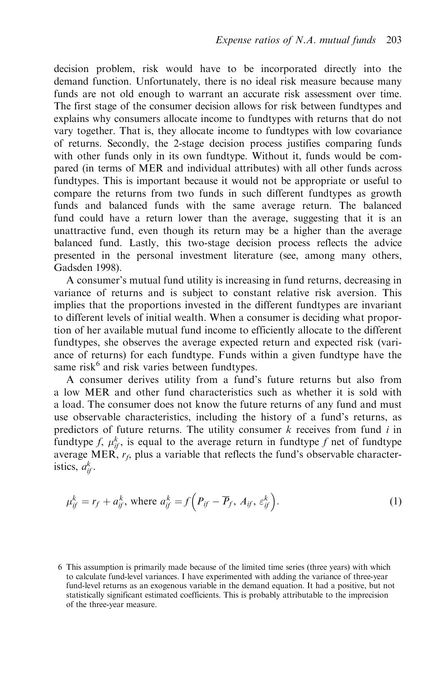decision problem, risk would have to be incorporated directly into the demand function. Unfortunately, there is no ideal risk measure because many funds are not old enough to warrant an accurate risk assessment over time. The first stage of the consumer decision allows for risk between fundtypes and explains why consumers allocate income to fundtypes with returns that do not vary together. That is, they allocate income to fundtypes with low covariance of returns. Secondly, the 2-stage decision process justifies comparing funds with other funds only in its own fundtype. Without it, funds would be compared (in terms of MER and individual attributes) with all other funds across fundtypes. This is important because it would not be appropriate or useful to compare the returns from two funds in such different fundtypes as growth funds and balanced funds with the same average return. The balanced fund could have a return lower than the average, suggesting that it is an unattractive fund, even though its return may be a higher than the average balanced fund. Lastly, this two-stage decision process reflects the advice presented in the personal investment literature (see, among many others, Gadsden 1998).

A consumer's mutual fund utility is increasing in fund returns, decreasing in variance of returns and is subject to constant relative risk aversion. This implies that the proportions invested in the different fundtypes are invariant to different levels of initial wealth. When a consumer is deciding what proportion of her available mutual fund income to efficiently allocate to the different fundtypes, she observes the average expected return and expected risk (variance of returns) for each fundtype. Funds within a given fundtype have the same risk $<sup>6</sup>$  and risk varies between fundtypes.</sup>

A consumer derives utility from a fund's future returns but also from a low MER and other fund characteristics such as whether it is sold with a load. The consumer does not know the future returns of any fund and must use observable characteristics, including the history of a fund's returns, as predictors of future returns. The utility consumer  $k$  receives from fund  $i$  in fundtype f,  $\mu_{if}^k$ , is equal to the average return in fundtype f net of fundtype average MER,  $r_f$ , plus a variable that reflects the fund's observable characteristics,  $a_{if}^k$ .

$$
\mu_{if}^k = r_f + a_{if}^k, \text{ where } a_{if}^k = f\Big(P_{if} - \overline{P}_f, A_{if}, \varepsilon_{if}^k\Big). \tag{1}
$$

<sup>6</sup> This assumption is primarily made because of the limited time series (three years) with which to calculate fund-level variances. I have experimented with adding the variance of three-year fund-level returns as an exogenous variable in the demand equation. It had a positive, but not statistically significant estimated coefficients. This is probably attributable to the imprecision of the three-year measure.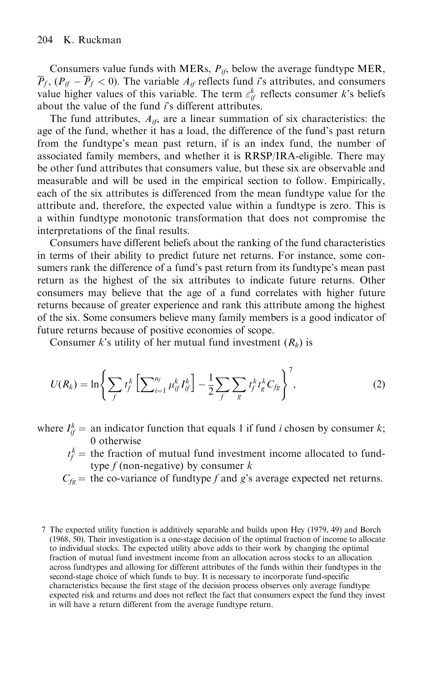Consumers value funds with MERs,  $P_{if}$ , below the average fundtype MER,  $\overline{P}_f$ ,  $(P_{if} - \overline{P}_f < 0)$ . The variable  $A_{if}$  reflects fund i's attributes, and consumers value higher values of this variable. The term  $\varepsilon_{if}^k$  reflects consumer k's beliefs about the value of the fund i's different attributes.

The fund attributes,  $A_{if}$ , are a linear summation of six characteristics: the age of the fund, whether it has a load, the difference of the fund's past return from the fundtype's mean past return, if is an index fund, the number of associated family members, and whether it is RRSP/IRA-eligible. There may be other fund attributes that consumers value, but these six are observable and measurable and will be used in the empirical section to follow. Empirically, each of the six attributes is differenced from the mean fundtype value for the attribute and, therefore, the expected value within a fundtype is zero. This is a within fundtype monotonic transformation that does not compromise the interpretations of the final results.

Consumers have different beliefs about the ranking of the fund characteristics in terms of their ability to predict future net returns. For instance, some consumers rank the difference of a fund's past return from its fundtype's mean past return as the highest of the six attributes to indicate future returns. Other consumers may believe that the age of a fund correlates with higher future returns because of greater experience and rank this attribute among the highest of the six. Some consumers believe many family members is a good indicator of future returns because of positive economies of scope.

Consumer k's utility of her mutual fund investment  $(R_k)$  is

$$
U(R_k) = \ln \left\{ \sum_{f} t_f^k \left[ \sum_{i=1}^{n_f} \mu_{if}^k I_{if}^k \right] - \frac{1}{2} \sum_{f} \sum_{g} t_f^k t_g^k C_{fg} \right\}^7, \tag{2}
$$

where  $I_{if}^{k}$  = an indicator function that equals 1 if fund *i* chosen by consumer *k*; 0 otherwise

- $t_f^k$  = the fraction of mutual fund investment income allocated to fundtype  $f$  (non-negative) by consumer  $k$
- $C_{fg}$  = the co-variance of fundtype f and g's average expected net returns.

<sup>7</sup> The expected utility function is additively separable and builds upon Hey (1979, 49) and Borch (1968, 50). Their investigation is a one-stage decision of the optimal fraction of income to allocate to individual stocks. The expected utility above adds to their work by changing the optimal fraction of mutual fund investment income from an allocation across stocks to an allocation across fundtypes and allowing for different attributes of the funds within their fundtypes in the second-stage choice of which funds to buy. It is necessary to incorporate fund-specific characteristics because the first stage of the decision process observes only average fundtype expected risk and returns and does not reflect the fact that consumers expect the fund they invest in will have a return different from the average fundtype return.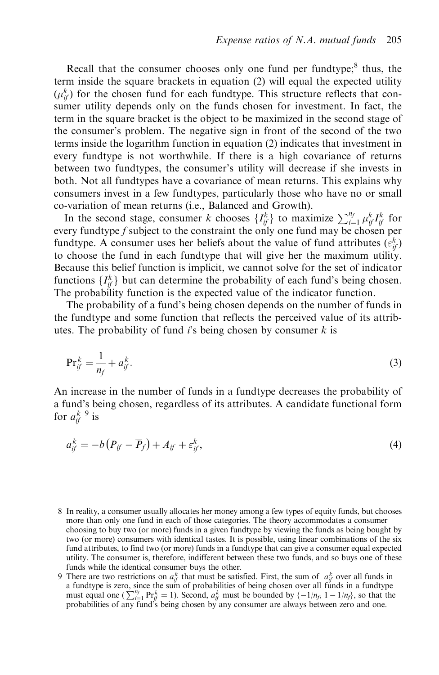Recall that the consumer chooses only one fund per fundtype; $8$  thus, the term inside the square brackets in equation (2) will equal the expected utility  $(\mu_{if}^k)$  for the chosen fund for each fundtype. This structure reflects that consumer utility depends only on the funds chosen for investment. In fact, the term in the square bracket is the object to be maximized in the second stage of the consumer's problem. The negative sign in front of the second of the two terms inside the logarithm function in equation (2) indicates that investment in every fundtype is not worthwhile. If there is a high covariance of returns between two fundtypes, the consumer's utility will decrease if she invests in both. Not all fundtypes have a covariance of mean returns. This explains why consumers invest in a few fundtypes, particularly those who have no or small co-variation of mean returns (i.e., Balanced and Growth).

In the second stage, consumer k chooses  $\{I_{if}^k\}$  to maximize  $\sum_{i=1}^{n_f} \mu_{if}^k I_{if}^k$  for every fundtype f subject to the constraint the only one fund may be chosen per fundtype. A consumer uses her beliefs about the value of fund attributes  $(\varepsilon_{if}^k)$ to choose the fund in each fundtype that will give her the maximum utility. Because this belief function is implicit, we cannot solve for the set of indicator functions  $\{I_{if}^{k}\}$  but can determine the probability of each fund's being chosen. The probability function is the expected value of the indicator function.

The probability of a fund's being chosen depends on the number of funds in the fundtype and some function that reflects the perceived value of its attributes. The probability of fund i's being chosen by consumer  $k$  is

$$
\Pr_{if}^{k} = \frac{1}{n_f} + a_{if}^{k}.\tag{3}
$$

An increase in the number of funds in a fundtype decreases the probability of a fund's being chosen, regardless of its attributes. A candidate functional form for  $a_{if}^k$   $9$  is

$$
a_{ij}^k = -b\left(P_{ij} - \overline{P}_f\right) + A_{ij} + \varepsilon_{ij}^k,\tag{4}
$$

- 8 In reality, a consumer usually allocates her money among a few types of equity funds, but chooses more than only one fund in each of those categories. The theory accommodates a consumer choosing to buy two (or more) funds in a given fundtype by viewing the funds as being bought by two (or more) consumers with identical tastes. It is possible, using linear combinations of the six fund attributes, to find two (or more) funds in a fundtype that can give a consumer equal expected utility. The consumer is, therefore, indifferent between these two funds, and so buys one of these funds while the identical consumer buys the other.
- 9 There are two restrictions on  $a_{if}^k$  that must be satisfied. First, the sum of  $a_{if}^k$  over all funds in a fundtype is zero, since the sum of probabilities of being chosen over all funds in a fundtype must equal one  $(\sum_{i=1}^{n_f} Pr_{if}^k = 1)$ . Second,  $a_{if}^k$  must be bounded by  $\{-1/n_f, 1 - 1/n_f\}$ , so that the probabilities of any fund's being chosen by any consumer are always between zero and one.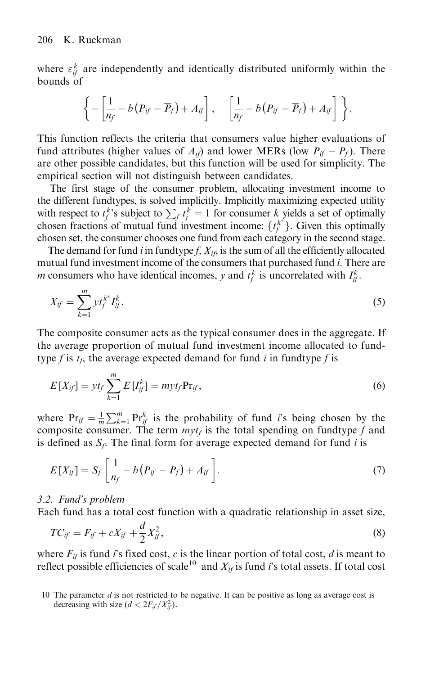where  $\varepsilon_{if}^{k}$  are independently and identically distributed uniformly within the bounds of

$$
\left\{-\left[\frac{1}{n_f}-b\left(P_{if}-\overline{P}_f\right)+A_{if}\right],\quad \left[\frac{1}{n_f}-b\left(P_{if}-\overline{P}_f\right)+A_{if}\right]\right\}.
$$

This function reflects the criteria that consumers value higher evaluations of fund attributes (higher values of  $A_{if}$ ) and lower MERs (low  $P_{if} - \overline{P}_f$ ). There are other possible candidates, but this function will be used for simplicity. The empirical section will not distinguish between candidates.

The first stage of the consumer problem, allocating investment income to the different fundtypes, is solved implicitly. Implicitly maximizing expected utility with respect to  $t_f^{k}$ 's subject to  $\sum_f t_i^k = 1$  for consumer k yields a set of optimally chosen fractions of mutual fund investment income:  $\{t_f^{k^*}\}$ . Given this optimally chosen set, the consumer chooses one fund from each category in the second stage.

The demand for fund i in fundtype  $f, X_{if}$ , is the sum of all the efficiently allocated mutual fund investment income of the consumers that purchased fund i. There are *m* consumers who have identical incomes, *y* and  $t_f^k$  is uncorrelated with  $I_{if}^k$ .

$$
X_{if} = \sum_{k=1}^{m} y t_f^{k^*} I_{if}^k.
$$
 (5)

The composite consumer acts as the typical consumer does in the aggregate. If the average proportion of mutual fund investment income allocated to fundtype f is  $t_f$ , the average expected demand for fund i in fundtype f is

$$
E[X_{if}] = yt_f \sum_{k=1}^{m} E[I_{if}^k] = myt_f Pr_{if},
$$
\n(6)

where  $Pr_{if} = \frac{1}{m} \sum_{k=1}^{m} Pr_{if}^{k}$  is the probability of fund *i*'s being chosen by the composite consumer. The term  $mvt_f$  is the total spending on fundtype f and is defined as  $S_f$ . The final form for average expected demand for fund i is

$$
E[X_{if}] = S_f \left[ \frac{1}{n_f} - b \left( P_{if} - \overline{P}_f \right) + A_{if} \right]. \tag{7}
$$

## 3.2. Fund's problem

Each fund has a total cost function with a quadratic relationship in asset size,

$$
TC_{if} = F_{if} + cX_{if} + \frac{d}{2}X_{if}^{2},
$$
\n(8)

where  $F_{if}$  is fund i's fixed cost, c is the linear portion of total cost, d is meant to reflect possible efficiencies of scale<sup>10</sup> and  $X_{if}$  is fund i's total assets. If total cost

<sup>10</sup> The parameter  $d$  is not restricted to be negative. It can be positive as long as average cost is decreasing with size  $(d < 2F_{if}/X_{if}^2)$ .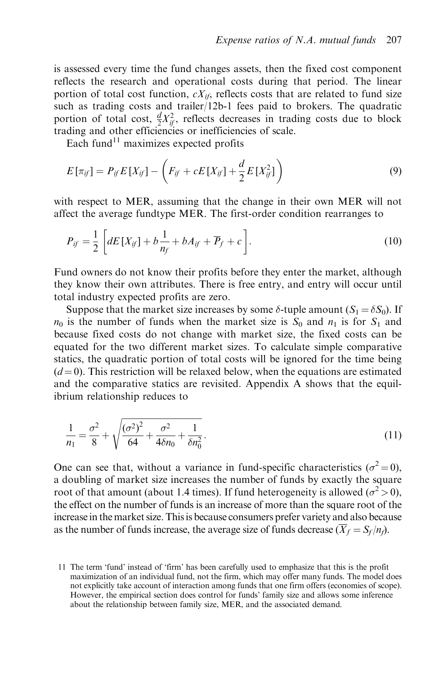is assessed every time the fund changes assets, then the fixed cost component reflects the research and operational costs during that period. The linear portion of total cost function,  $cX_{if}$ , reflects costs that are related to fund size such as trading costs and trailer/12b-1 fees paid to brokers. The quadratic portion of total cost,  $\frac{d}{2}X_{if}^2$ , reflects decreases in trading costs due to block trading and other efficiencies or inefficiencies of scale.

Each fund<sup>11</sup> maximizes expected profits

$$
E[\pi_{if}] = P_{if}E[X_{if}] - \left(F_{if} + cE[X_{if}] + \frac{d}{2}E[X_{if}^{2}]\right)
$$
\n(9)

with respect to MER, assuming that the change in their own MER will not affect the average fundtype MER. The first-order condition rearranges to

$$
P_{if} = \frac{1}{2} \left[ dE \left[ X_{if} \right] + b \frac{1}{n_f} + b A_{if} + \overline{P}_f + c \right]. \tag{10}
$$

Fund owners do not know their profits before they enter the market, although they know their own attributes. There is free entry, and entry will occur until total industry expected profits are zero.

Suppose that the market size increases by some  $\delta$ -tuple amount  $(S_1 = \delta S_0)$ . If  $n_0$  is the number of funds when the market size is  $S_0$  and  $n_1$  is for  $S_1$  and because fixed costs do not change with market size, the fixed costs can be equated for the two different market sizes. To calculate simple comparative statics, the quadratic portion of total costs will be ignored for the time being  $(d=0)$ . This restriction will be relaxed below, when the equations are estimated and the comparative statics are revisited. Appendix A shows that the equilibrium relationship reduces to

$$
\frac{1}{n_1} = \frac{\sigma^2}{8} + \sqrt{\frac{(\sigma^2)^2}{64} + \frac{\sigma^2}{4\delta n_0} + \frac{1}{\delta n_0^2}}.
$$
\n(11)

One can see that, without a variance in fund-specific characteristics ( $\sigma^2 = 0$ ), a doubling of market size increases the number of funds by exactly the square root of that amount (about 1.4 times). If fund heterogeneity is allowed ( $\sigma^2 > 0$ ), the effect on the number of funds is an increase of more than the square root of the increase in the market size. This is because consumers prefer variety and also because as the number of funds increase, the average size of funds decrease  $(\overline{X}_f = S_f/n_f)$ .

<sup>11</sup> The term 'fund' instead of 'firm' has been carefully used to emphasize that this is the profit maximization of an individual fund, not the firm, which may offer many funds. The model does not explicitly take account of interaction among funds that one firm offers (economies of scope). However, the empirical section does control for funds' family size and allows some inference about the relationship between family size, MER, and the associated demand.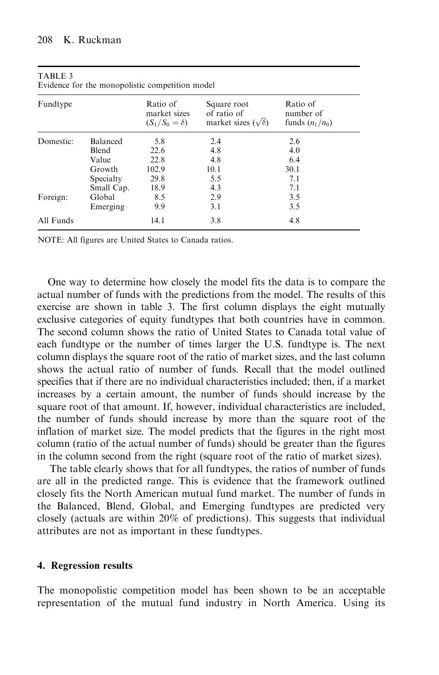|           |                 | Evidence for the monopolistic competition model |                                                              |                                            |
|-----------|-----------------|-------------------------------------------------|--------------------------------------------------------------|--------------------------------------------|
| Fundtype  |                 | Ratio of<br>market sizes<br>$(S_1/S_0=\delta)$  | Square root<br>of ratio of<br>market sizes $(\sqrt{\delta})$ | Ratio of<br>number of<br>funds $(n_1/n_0)$ |
| Domestic: | <b>Balanced</b> | 5.8                                             | 2.4                                                          | 2.6                                        |
|           | Blend           | 22.6                                            | 4.8                                                          | 4.0                                        |
|           | Value           | 22.8                                            | 4.8                                                          | 6.4                                        |
|           | Growth          | 102.9                                           | 10.1                                                         | 30.1                                       |
|           | Specialty       | 29.8                                            | 5.5                                                          | 7.1                                        |
|           | Small Cap.      | 18.9                                            | 4.3                                                          | 7.1                                        |
| Foreign:  | Global          | 8.5                                             | 2.9                                                          | 3.5                                        |
|           | Emerging        | 9.9                                             | 3.1                                                          | 3.5                                        |
| All Funds |                 | 14.1                                            | 3.8                                                          | 4.8                                        |

TABLE 3

NOTE: All figures are United States to Canada ratios.

One way to determine how closely the model fits the data is to compare the actual number of funds with the predictions from the model. The results of this exercise are shown in table 3. The first column displays the eight mutually exclusive categories of equity fundtypes that both countries have in common. The second column shows the ratio of United States to Canada total value of each fundtype or the number of times larger the U.S. fundtype is. The next column displays the square root of the ratio of market sizes, and the last column shows the actual ratio of number of funds. Recall that the model outlined specifies that if there are no individual characteristics included; then, if a market increases by a certain amount, the number of funds should increase by the square root of that amount. If, however, individual characteristics are included, the number of funds should increase by more than the square root of the inflation of market size. The model predicts that the figures in the right most column (ratio of the actual number of funds) should be greater than the figures in the column second from the right (square root of the ratio of market sizes).

The table clearly shows that for all fundtypes, the ratios of number of funds are all in the predicted range. This is evidence that the framework outlined closely fits the North American mutual fund market. The number of funds in the Balanced, Blend, Global, and Emerging fundtypes are predicted very closely (actuals are within 20% of predictions). This suggests that individual attributes are not as important in these fundtypes.

## 4. Regression results

The monopolistic competition model has been shown to be an acceptable representation of the mutual fund industry in North America. Using its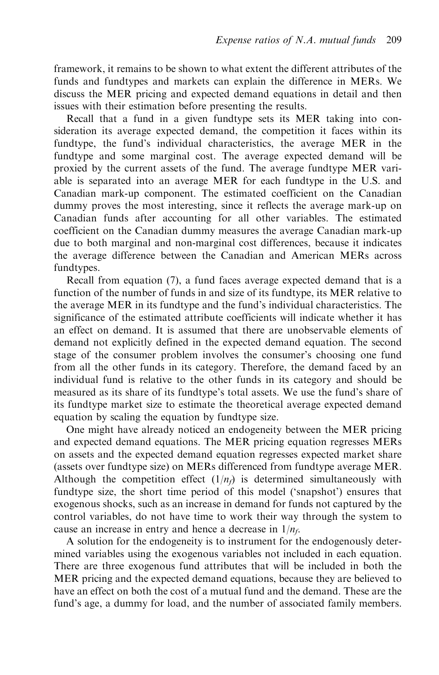framework, it remains to be shown to what extent the different attributes of the funds and fundtypes and markets can explain the difference in MERs. We discuss the MER pricing and expected demand equations in detail and then issues with their estimation before presenting the results.

Recall that a fund in a given fundtype sets its MER taking into consideration its average expected demand, the competition it faces within its fundtype, the fund's individual characteristics, the average MER in the fundtype and some marginal cost. The average expected demand will be proxied by the current assets of the fund. The average fundtype MER variable is separated into an average MER for each fundtype in the U.S. and Canadian mark-up component. The estimated coefficient on the Canadian dummy proves the most interesting, since it reflects the average mark-up on Canadian funds after accounting for all other variables. The estimated coefficient on the Canadian dummy measures the average Canadian mark-up due to both marginal and non-marginal cost differences, because it indicates the average difference between the Canadian and American MERs across fundtypes.

Recall from equation (7), a fund faces average expected demand that is a function of the number of funds in and size of its fundtype, its MER relative to the average MER in its fundtype and the fund's individual characteristics. The significance of the estimated attribute coefficients will indicate whether it has an effect on demand. It is assumed that there are unobservable elements of demand not explicitly defined in the expected demand equation. The second stage of the consumer problem involves the consumer's choosing one fund from all the other funds in its category. Therefore, the demand faced by an individual fund is relative to the other funds in its category and should be measured as its share of its fundtype's total assets. We use the fund's share of its fundtype market size to estimate the theoretical average expected demand equation by scaling the equation by fundtype size.

One might have already noticed an endogeneity between the MER pricing and expected demand equations. The MER pricing equation regresses MERs on assets and the expected demand equation regresses expected market share (assets over fundtype size) on MERs differenced from fundtype average MER. Although the competition effect  $(1/n_f)$  is determined simultaneously with fundtype size, the short time period of this model ('snapshot') ensures that exogenous shocks, such as an increase in demand for funds not captured by the control variables, do not have time to work their way through the system to cause an increase in entry and hence a decrease in  $1/n<sub>f</sub>$ .

A solution for the endogeneity is to instrument for the endogenously determined variables using the exogenous variables not included in each equation. There are three exogenous fund attributes that will be included in both the MER pricing and the expected demand equations, because they are believed to have an effect on both the cost of a mutual fund and the demand. These are the fund's age, a dummy for load, and the number of associated family members.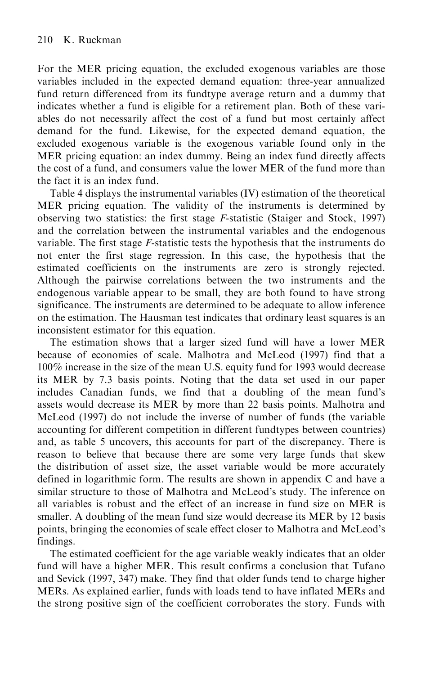For the MER pricing equation, the excluded exogenous variables are those variables included in the expected demand equation: three-year annualized fund return differenced from its fundtype average return and a dummy that indicates whether a fund is eligible for a retirement plan. Both of these variables do not necessarily affect the cost of a fund but most certainly affect demand for the fund. Likewise, for the expected demand equation, the excluded exogenous variable is the exogenous variable found only in the MER pricing equation: an index dummy. Being an index fund directly affects the cost of a fund, and consumers value the lower MER of the fund more than the fact it is an index fund.

Table 4 displays the instrumental variables (IV) estimation of the theoretical MER pricing equation. The validity of the instruments is determined by observing two statistics: the first stage F-statistic (Staiger and Stock, 1997) and the correlation between the instrumental variables and the endogenous variable. The first stage F-statistic tests the hypothesis that the instruments do not enter the first stage regression. In this case, the hypothesis that the estimated coefficients on the instruments are zero is strongly rejected. Although the pairwise correlations between the two instruments and the endogenous variable appear to be small, they are both found to have strong significance. The instruments are determined to be adequate to allow inference on the estimation. The Hausman test indicates that ordinary least squares is an inconsistent estimator for this equation.

The estimation shows that a larger sized fund will have a lower MER because of economies of scale. Malhotra and McLeod (1997) find that a 100% increase in the size of the mean U.S. equity fund for 1993 would decrease its MER by 7.3 basis points. Noting that the data set used in our paper includes Canadian funds, we find that a doubling of the mean fund's assets would decrease its MER by more than 22 basis points. Malhotra and McLeod (1997) do not include the inverse of number of funds (the variable accounting for different competition in different fundtypes between countries) and, as table 5 uncovers, this accounts for part of the discrepancy. There is reason to believe that because there are some very large funds that skew the distribution of asset size, the asset variable would be more accurately defined in logarithmic form. The results are shown in appendix C and have a similar structure to those of Malhotra and McLeod's study. The inference on all variables is robust and the effect of an increase in fund size on MER is smaller. A doubling of the mean fund size would decrease its MER by 12 basis points, bringing the economies of scale effect closer to Malhotra and McLeod's findings.

The estimated coefficient for the age variable weakly indicates that an older fund will have a higher MER. This result confirms a conclusion that Tufano and Sevick (1997, 347) make. They find that older funds tend to charge higher MERs. As explained earlier, funds with loads tend to have inflated MERs and the strong positive sign of the coefficient corroborates the story. Funds with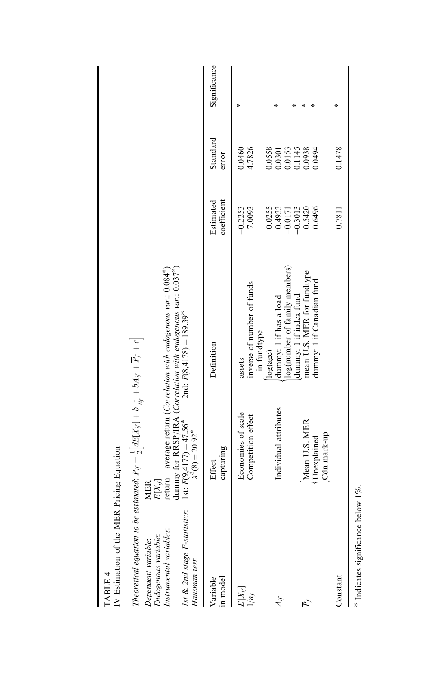| IV Estimation of the MER Pricing Equation<br>TABLE 4                      |                                                                                                                                                                       |                                                                                                                                                                                                            |                               |                                               |              |
|---------------------------------------------------------------------------|-----------------------------------------------------------------------------------------------------------------------------------------------------------------------|------------------------------------------------------------------------------------------------------------------------------------------------------------------------------------------------------------|-------------------------------|-----------------------------------------------|--------------|
| Dependent variable:<br>Endogenous variable:                               | Theoretical equation to be estimated: $P_{if} = \frac{1}{2} \left[ dE[X_{if}] + b \frac{1}{n_f} + b A_{if} + \overline{P}_f + c \right]$<br><b>MER</b><br>$E[X_{if}]$ |                                                                                                                                                                                                            |                               |                                               |              |
| Ist & 2nd stage F-statistics:<br>Instrumental variables:<br>Hausman test: | $X^2(8) = 20.92^*$                                                                                                                                                    | dummy for RRSP/IRA (Correlation with endogenous var.: 0.037 <sup>*</sup> )<br>1st: $F(9,4177) = 47.56^*$ 2nd: $F(8,4178) = 189.39^*$<br>return - average return (Correlation with endogenous var.: 0.084*) |                               |                                               |              |
| in model<br>Variable                                                      | capturing<br>Effect                                                                                                                                                   | Definition                                                                                                                                                                                                 | coefficient<br>Estimated      | Standard<br>error                             | Significance |
| $\frac{E[X_{ij}]}{1/n_{j}}$                                               | Economies of scale<br>Competition effect                                                                                                                              | inverse of number of funds<br>assets                                                                                                                                                                       | 7.0093<br>$-0.2253$           | 4.7826<br>0.0460                              | ⋇            |
| $A_{\dot{y}}$                                                             | Individual attributes                                                                                                                                                 | log(number of family members)<br>dummy: 1 if has a load<br>in fundtype<br>log(age)                                                                                                                         | 0.0255<br>0.4933<br>$-0.0171$ | 0.558<br>0.0301<br>0.0153<br>0.1145<br>0.0938 | ⋇            |
| $P_{f}$                                                                   | Mean U.S. MER<br>Cdn mark-up<br>Unexplained                                                                                                                           | mean U.S. MER for fundtype<br>dummy: 1 if Canadian fund<br>dummy: 1 if index fund                                                                                                                          | $-0.3013$<br>0.5420<br>0.6496 | 0.0494                                        | ⋇            |
| Constant                                                                  |                                                                                                                                                                       |                                                                                                                                                                                                            | 0.7811                        | 0.1478                                        | ⋇            |
|                                                                           |                                                                                                                                                                       |                                                                                                                                                                                                            |                               |                                               |              |

\* Indicates significance below 1%. Indicates significance below 1%.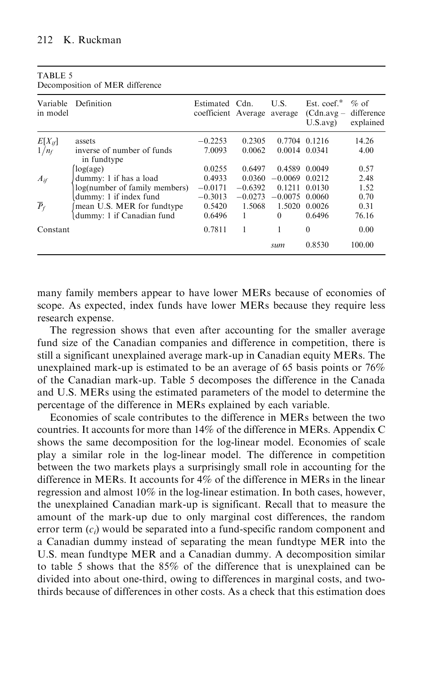| Variable<br>in model | Definition                                | Estimated Cdn.<br>coefficient Average average |           | U.S.      | Est. $\mathrm{coef.}^*$<br>$(Cdn. avg -$<br>U.S.avg) | $%$ of<br>difference<br>explained |
|----------------------|-------------------------------------------|-----------------------------------------------|-----------|-----------|------------------------------------------------------|-----------------------------------|
| $E[X_{if}]$          | assets                                    | $-0.2253$                                     | 0.2305    |           | 0.7704 0.1216                                        | 14.26                             |
| $1/n_f$              | inverse of number of funds<br>in fundtype | 7.0093                                        | 0.0062    |           | 0.0014 0.0341                                        | 4.00                              |
|                      | $\log(\text{age})$                        | 0.0255                                        | 0.6497    |           | 0.4589 0.0049                                        | 0.57                              |
| $A_{if}$             | dummy: 1 if has a load                    | 0.4933                                        | 0.0360    | $-0.0069$ | 0.0212                                               | 2.48                              |
|                      | log(number of family members)             | $-0.0171$                                     | $-0.6392$ | 0.1211    | 0.0130                                               | 1.52                              |
|                      | dummy: 1 if index fund                    | $-0.3013$                                     | $-0.0273$ | $-0.0075$ | 0.0060                                               | 0.70                              |
| $\overline{P}_f$     | mean U.S. MER for fundtype                | 0.5420                                        | 1.5068    | 1.5020    | 0.0026                                               | 0.31                              |
|                      | dummy: 1 if Canadian fund                 | 0.6496                                        |           | $\Omega$  | 0.6496                                               | 76.16                             |
| Constant             |                                           | 0.7811                                        | 1         |           | $\overline{0}$                                       | 0.00                              |
|                      |                                           |                                               |           | sum       | 0.8530                                               | 100.00                            |

#### TABLE 5 Decomposition of MER difference

many family members appear to have lower MERs because of economies of scope. As expected, index funds have lower MERs because they require less research expense.

The regression shows that even after accounting for the smaller average fund size of the Canadian companies and difference in competition, there is still a significant unexplained average mark-up in Canadian equity MERs. The unexplained mark-up is estimated to be an average of 65 basis points or 76% of the Canadian mark-up. Table 5 decomposes the difference in the Canada and U.S. MERs using the estimated parameters of the model to determine the percentage of the difference in MERs explained by each variable.

Economies of scale contributes to the difference in MERs between the two countries. It accounts for more than 14% of the difference in MERs. Appendix C shows the same decomposition for the log-linear model. Economies of scale play a similar role in the log-linear model. The difference in competition between the two markets plays a surprisingly small role in accounting for the difference in MERs. It accounts for 4% of the difference in MERs in the linear regression and almost 10% in the log-linear estimation. In both cases, however, the unexplained Canadian mark-up is significant. Recall that to measure the amount of the mark-up due to only marginal cost differences, the random error term  $(c_i)$  would be separated into a fund-specific random component and a Canadian dummy instead of separating the mean fundtype MER into the U.S. mean fundtype MER and a Canadian dummy. A decomposition similar to table 5 shows that the 85% of the difference that is unexplained can be divided into about one-third, owing to differences in marginal costs, and twothirds because of differences in other costs. As a check that this estimation does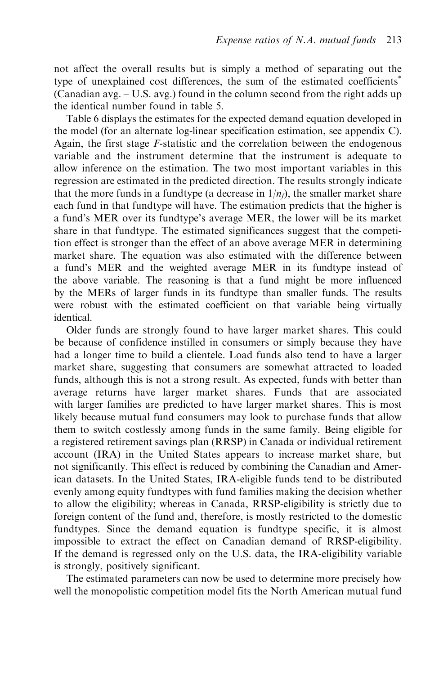not affect the overall results but is simply a method of separating out the type of unexplained cost differences, the sum of the estimated coefficients<sup>\*</sup> (Canadian avg. – U.S. avg.) found in the column second from the right adds up the identical number found in table 5.

Table 6 displays the estimates for the expected demand equation developed in the model (for an alternate log-linear specification estimation, see appendix C). Again, the first stage F-statistic and the correlation between the endogenous variable and the instrument determine that the instrument is adequate to allow inference on the estimation. The two most important variables in this regression are estimated in the predicted direction. The results strongly indicate that the more funds in a fundtype (a decrease in  $1/n_f$ ), the smaller market share each fund in that fundtype will have. The estimation predicts that the higher is a fund's MER over its fundtype's average MER, the lower will be its market share in that fundtype. The estimated significances suggest that the competition effect is stronger than the effect of an above average MER in determining market share. The equation was also estimated with the difference between a fund's MER and the weighted average MER in its fundtype instead of the above variable. The reasoning is that a fund might be more influenced by the MERs of larger funds in its fundtype than smaller funds. The results were robust with the estimated coefficient on that variable being virtually identical.

Older funds are strongly found to have larger market shares. This could be because of confidence instilled in consumers or simply because they have had a longer time to build a clientele. Load funds also tend to have a larger market share, suggesting that consumers are somewhat attracted to loaded funds, although this is not a strong result. As expected, funds with better than average returns have larger market shares. Funds that are associated with larger families are predicted to have larger market shares. This is most likely because mutual fund consumers may look to purchase funds that allow them to switch costlessly among funds in the same family. Being eligible for a registered retirement savings plan (RRSP) in Canada or individual retirement account (IRA) in the United States appears to increase market share, but not significantly. This effect is reduced by combining the Canadian and American datasets. In the United States, IRA-eligible funds tend to be distributed evenly among equity fundtypes with fund families making the decision whether to allow the eligibility; whereas in Canada, RRSP-eligibility is strictly due to foreign content of the fund and, therefore, is mostly restricted to the domestic fundtypes. Since the demand equation is fundtype specific, it is almost impossible to extract the effect on Canadian demand of RRSP-eligibility. If the demand is regressed only on the U.S. data, the IRA-eligibility variable is strongly, positively significant.

The estimated parameters can now be used to determine more precisely how well the monopolistic competition model fits the North American mutual fund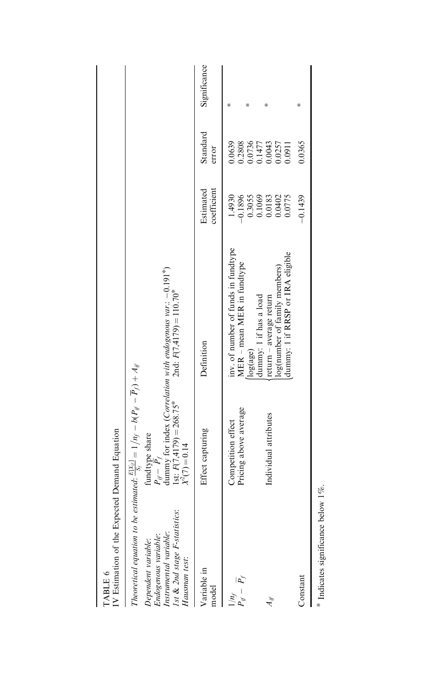| IV Estimation of the Expected Demand Equation<br>TABLE 6                                                                |                                                                                                          |                                                                                                                                            |                            |                            |              |
|-------------------------------------------------------------------------------------------------------------------------|----------------------------------------------------------------------------------------------------------|--------------------------------------------------------------------------------------------------------------------------------------------|----------------------------|----------------------------|--------------|
|                                                                                                                         | Theoretical equation to be estimated: $\frac{E[X_i]}{S_Y} = 1/n_f - b(P_{if} - \overline{P}_f) + A_{if}$ |                                                                                                                                            |                            |                            |              |
| Ist & 2nd stage F-statistics:<br>Instrumental variable:<br>Endogenous variable:<br>Dependent variable:<br>Hausman test: | 1st: $F(7,4179) = 268.75^*$<br>$X^2(7) = 0.14$                                                           | fundtype share<br>$P_{if} - P_f$<br>dummy for index (Correlation with endogenous var.: -0.191 <sup>*</sup> )<br>2nd: $F(7,4179) = 110.70*$ |                            |                            |              |
| Variable in<br>model                                                                                                    | Effect capturing                                                                                         | Definition                                                                                                                                 | coefficient<br>Estimated   | Standard<br>error          | Significance |
| $\frac{1/n_f}{P_{if}-\bar{P_f}}$                                                                                        | Pricing above average<br>Competition effect                                                              | inv. of number of funds in fundtype<br>MER - mean MER in fundtype                                                                          | 1.4930<br>$-0.1896$        | 0.639<br>0.2808            |              |
|                                                                                                                         |                                                                                                          | dummy: 1 if has a load<br>log(age)                                                                                                         | 0.3055<br>0.1069           | 0.0736                     |              |
| $A_{if}$                                                                                                                | Individual attributes                                                                                    | dummy: 1 if RRSP or IRA eligible<br>log(number of family members)<br>return – average return                                               | 0.0183<br>0.0402<br>0.0775 | 0.0043<br>0.0257<br>0.0911 |              |
| Constant                                                                                                                |                                                                                                          |                                                                                                                                            | $-0.1439$                  | 0.0365                     |              |
|                                                                                                                         |                                                                                                          |                                                                                                                                            |                            |                            |              |

 $^*$  Indicates significance below 1%. Indicates significance below 1%.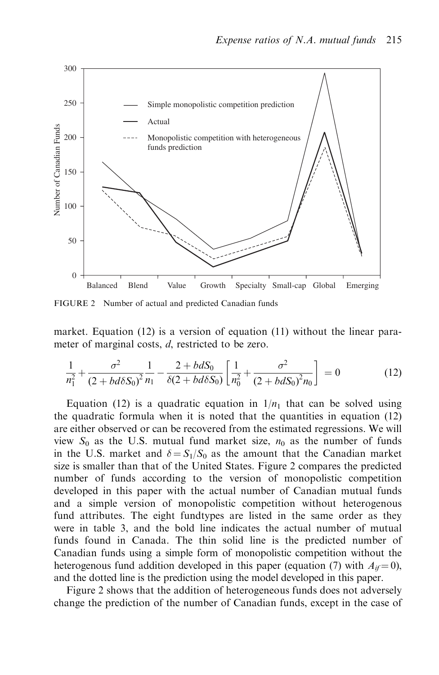

FIGURE 2 Number of actual and predicted Canadian funds

market. Equation (12) is a version of equation (11) without the linear parameter of marginal costs, d, restricted to be zero.

$$
\frac{1}{n_1^2} + \frac{\sigma^2}{(2 + bd\delta S_0)^2} \frac{1}{n_1} - \frac{2 + bdS_0}{\delta(2 + bd\delta S_0)} \left[ \frac{1}{n_0^2} + \frac{\sigma^2}{(2 + bdS_0)^2 n_0} \right] = 0 \tag{12}
$$

Equation (12) is a quadratic equation in  $1/n_1$  that can be solved using the quadratic formula when it is noted that the quantities in equation  $(12)$ are either observed or can be recovered from the estimated regressions. We will view  $S_0$  as the U.S. mutual fund market size,  $n_0$  as the number of funds in the U.S. market and  $\delta = S_1/S_0$  as the amount that the Canadian market size is smaller than that of the United States. Figure 2 compares the predicted number of funds according to the version of monopolistic competition developed in this paper with the actual number of Canadian mutual funds and a simple version of monopolistic competition without heterogenous fund attributes. The eight fundtypes are listed in the same order as they were in table 3, and the bold line indicates the actual number of mutual funds found in Canada. The thin solid line is the predicted number of Canadian funds using a simple form of monopolistic competition without the heterogenous fund addition developed in this paper (equation (7) with  $A_{it} = 0$ ), and the dotted line is the prediction using the model developed in this paper.

Figure 2 shows that the addition of heterogeneous funds does not adversely change the prediction of the number of Canadian funds, except in the case of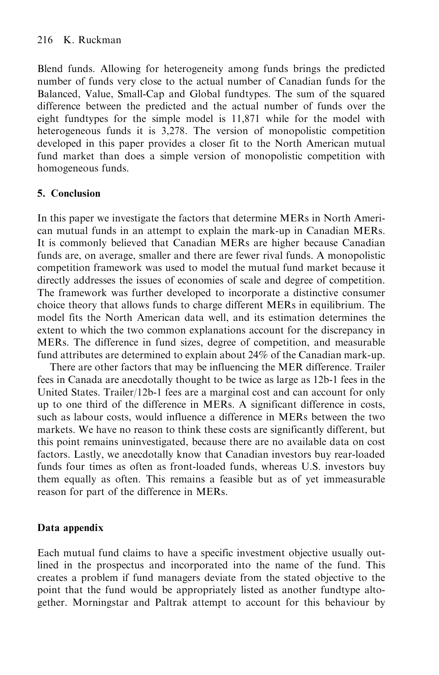Blend funds. Allowing for heterogeneity among funds brings the predicted number of funds very close to the actual number of Canadian funds for the Balanced, Value, Small-Cap and Global fundtypes. The sum of the squared difference between the predicted and the actual number of funds over the eight fundtypes for the simple model is 11,871 while for the model with heterogeneous funds it is 3,278. The version of monopolistic competition developed in this paper provides a closer fit to the North American mutual fund market than does a simple version of monopolistic competition with homogeneous funds.

## 5. Conclusion

In this paper we investigate the factors that determine MERs in North American mutual funds in an attempt to explain the mark-up in Canadian MERs. It is commonly believed that Canadian MERs are higher because Canadian funds are, on average, smaller and there are fewer rival funds. A monopolistic competition framework was used to model the mutual fund market because it directly addresses the issues of economies of scale and degree of competition. The framework was further developed to incorporate a distinctive consumer choice theory that allows funds to charge different MERs in equilibrium. The model fits the North American data well, and its estimation determines the extent to which the two common explanations account for the discrepancy in MERs. The difference in fund sizes, degree of competition, and measurable fund attributes are determined to explain about 24% of the Canadian mark-up.

There are other factors that may be influencing the MER difference. Trailer fees in Canada are anecdotally thought to be twice as large as 12b-1 fees in the United States. Trailer/12b-1 fees are a marginal cost and can account for only up to one third of the difference in MERs. A significant difference in costs, such as labour costs, would influence a difference in MERs between the two markets. We have no reason to think these costs are significantly different, but this point remains uninvestigated, because there are no available data on cost factors. Lastly, we anecdotally know that Canadian investors buy rear-loaded funds four times as often as front-loaded funds, whereas U.S. investors buy them equally as often. This remains a feasible but as of yet immeasurable reason for part of the difference in MERs.

## Data appendix

Each mutual fund claims to have a specific investment objective usually outlined in the prospectus and incorporated into the name of the fund. This creates a problem if fund managers deviate from the stated objective to the point that the fund would be appropriately listed as another fundtype altogether. Morningstar and Paltrak attempt to account for this behaviour by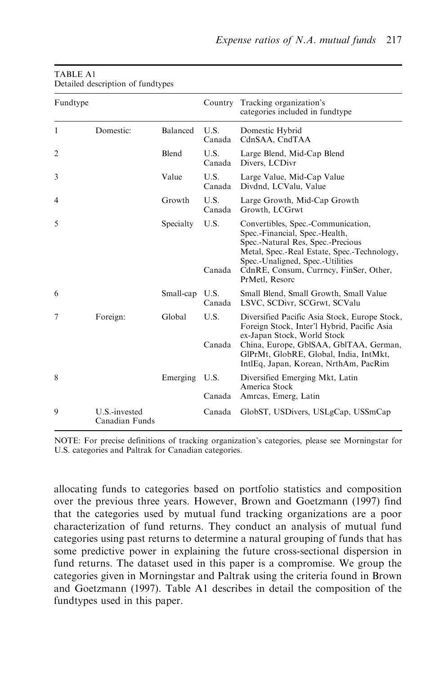|                | Detailed description of rundrypes |                |                |                                                                                                                                                                                                                                                          |
|----------------|-----------------------------------|----------------|----------------|----------------------------------------------------------------------------------------------------------------------------------------------------------------------------------------------------------------------------------------------------------|
| Fundtype       |                                   |                |                | Country Tracking organization's<br>categories included in fundtype                                                                                                                                                                                       |
| 1              | Domestic:                         | Balanced       | U.S.<br>Canada | Domestic Hybrid<br>CdnSAA, CndTAA                                                                                                                                                                                                                        |
| $\overline{2}$ |                                   | Blend          | U.S.<br>Canada | Large Blend, Mid-Cap Blend<br>Divers, LCDivr                                                                                                                                                                                                             |
| 3              |                                   | Value          | U.S.<br>Canada | Large Value, Mid-Cap Value<br>Divdnd, LCValu, Value                                                                                                                                                                                                      |
| 4              |                                   | Growth         | U.S.<br>Canada | Large Growth, Mid-Cap Growth<br>Growth, LCGrwt                                                                                                                                                                                                           |
| 5              |                                   | Specialty      | U.S.<br>Canada | Convertibles, Spec.-Communication,<br>Spec.-Financial, Spec.-Health,<br>Spec.-Natural Res, Spec.-Precious<br>Metal, Spec.-Real Estate, Spec.-Technology,<br>Spec.-Unaligned, Spec.-Utilities<br>CdnRE, Consum, Currncy, FinSer, Other,<br>PrMetl, Resorc |
| 6              |                                   | Small-cap U.S. | Canada         | Small Blend, Small Growth, Small Value<br>LSVC, SCDivr, SCGrwt, SCValu                                                                                                                                                                                   |
| 7              | Foreign:                          | Global         | U.S.<br>Canada | Diversified Pacific Asia Stock, Europe Stock,<br>Foreign Stock, Inter'l Hybrid, Pacific Asia<br>ex-Japan Stock, World Stock<br>China, Europe, GblSAA, GblTAA, German,<br>GlPrMt, GlobRE, Global, India, IntMkt,<br>IntlEq, Japan, Korean, NrthAm, PacRim |
| 8              |                                   | Emerging U.S.  |                | Diversified Emerging Mkt, Latin<br>America Stock                                                                                                                                                                                                         |
|                |                                   |                | Canada         | Amreas, Emerg, Latin                                                                                                                                                                                                                                     |
| 9              | U.S.-invested<br>Canadian Funds   |                | Canada         | GlobST, USDivers, USLgCap, USSmCap                                                                                                                                                                                                                       |

#### TABLE A1 Detailed description of fundtypes

NOTE: For precise definitions of tracking organization's categories, please see Morningstar for U.S. categories and Paltrak for Canadian categories.

allocating funds to categories based on portfolio statistics and composition over the previous three years. However, Brown and Goetzmann (1997) find that the categories used by mutual fund tracking organizations are a poor characterization of fund returns. They conduct an analysis of mutual fund categories using past returns to determine a natural grouping of funds that has some predictive power in explaining the future cross-sectional dispersion in fund returns. The dataset used in this paper is a compromise. We group the categories given in Morningstar and Paltrak using the criteria found in Brown and Goetzmann (1997). Table A1 describes in detail the composition of the fundtypes used in this paper.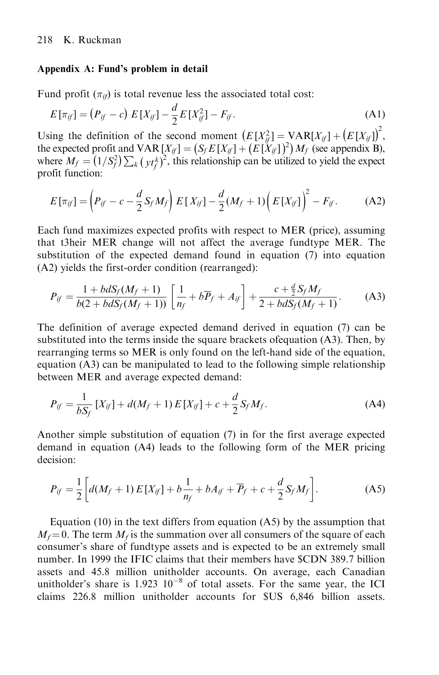## Appendix A: Fund's problem in detail

Fund profit  $(\pi_{if})$  is total revenue less the associated total cost:

$$
E[\pi_{if}] = (P_{if} - c) E[X_{if}] - \frac{d}{2} E[X_{if}^{2}] - F_{if}.
$$
 (A1)

Using the definition of the second moment  $(E[X_{if}^2] = \text{VAR}[X_{if}] + (E[X_{if}])^2)$ , the expected profit and VAR  $[X_{if}] = (S_f E [X_{if}] + (E[X_{if}])^2) M_f$  (see appendix B), where  $M_f = (1/S_f^2) \sum_k (y t_f^k)^2$ , this relationship can be utilized to yield the expect profit function:

$$
E[\pi_{ij}]=\left(P_{ij}-c-\frac{d}{2}S_{j}M_{j}\right)E[X_{ij}]-\frac{d}{2}(M_{j}+1)\left(E[X_{ij}]\right)^{2}-F_{ij}.
$$
 (A2)

Each fund maximizes expected profits with respect to MER (price), assuming that t3heir MER change will not affect the average fundtype MER. The substitution of the expected demand found in equation (7) into equation (A2) yields the first-order condition (rearranged):

$$
P_{if} = \frac{1 + b dS_f (M_f + 1)}{b(2 + b dS_f (M_f + 1))} \left[ \frac{1}{n_f} + b \overline{P}_f + A_{if} \right] + \frac{c + \frac{d}{2} S_f M_f}{2 + b dS_f (M_f + 1)}.
$$
 (A3)

The definition of average expected demand derived in equation (7) can be substituted into the terms inside the square brackets ofequation (A3). Then, by rearranging terms so MER is only found on the left-hand side of the equation, equation (A3) can be manipulated to lead to the following simple relationship between MER and average expected demand:

$$
P_{if} = \frac{1}{bS_f} [X_{if}] + d(M_f + 1) E [X_{if}] + c + \frac{d}{2} S_f M_f.
$$
 (A4)

Another simple substitution of equation (7) in for the first average expected demand in equation (A4) leads to the following form of the MER pricing decision:

$$
P_{if} = \frac{1}{2} \left[ d(M_f + 1) E[X_{if}] + b \frac{1}{n_f} + bA_{if} + \overline{P}_f + c + \frac{d}{2} S_f M_f \right].
$$
 (A5)

Equation (10) in the text differs from equation (A5) by the assumption that  $M_f = 0$ . The term  $M_f$  is the summation over all consumers of the square of each consumer's share of fundtype assets and is expected to be an extremely small number. In 1999 the IFIC claims that their members have \$CDN 389.7 billion assets and 45.8 million unitholder accounts. On average, each Canadian unitholder's share is  $1.923 \times 10^{-8}$  of total assets. For the same year, the ICI claims 226.8 million unitholder accounts for \$US 6,846 billion assets.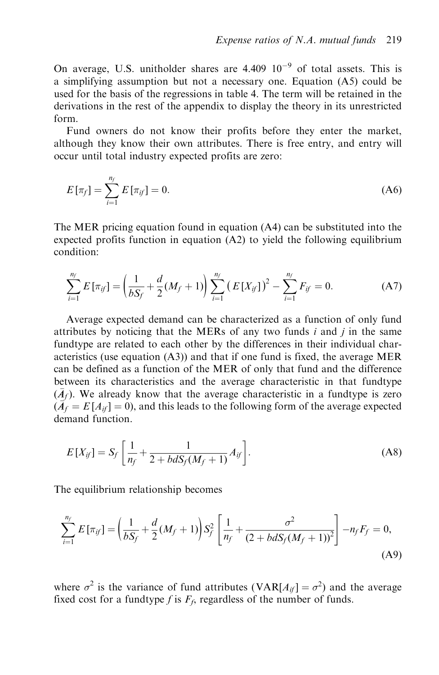On average, U.S. unitholder shares are  $4.409 \, 10^{-9}$  of total assets. This is a simplifying assumption but not a necessary one. Equation (A5) could be used for the basis of the regressions in table 4. The term will be retained in the derivations in the rest of the appendix to display the theory in its unrestricted form.

Fund owners do not know their profits before they enter the market, although they know their own attributes. There is free entry, and entry will occur until total industry expected profits are zero:

$$
E[\pi_f] = \sum_{i=1}^{n_f} E[\pi_{if}] = 0.
$$
 (A6)

The MER pricing equation found in equation (A4) can be substituted into the expected profits function in equation (A2) to yield the following equilibrium condition:

$$
\sum_{i=1}^{n_f} E[\pi_{if}] = \left(\frac{1}{bS_f} + \frac{d}{2}(M_f + 1)\right) \sum_{i=1}^{n_f} \left(E[X_{if}]\right)^2 - \sum_{i=1}^{n_f} F_{if} = 0.
$$
 (A7)

Average expected demand can be characterized as a function of only fund attributes by noticing that the MERs of any two funds  $i$  and  $j$  in the same fundtype are related to each other by the differences in their individual characteristics (use equation (A3)) and that if one fund is fixed, the average MER can be defined as a function of the MER of only that fund and the difference between its characteristics and the average characteristic in that fundtype  $(\bar{A}_f)$ . We already know that the average characteristic in a fundtype is zero  $({\bar A}_f = E[A_{if}] = 0)$ , and this leads to the following form of the average expected demand function.

$$
E[X_{if}] = S_f \left[ \frac{1}{n_f} + \frac{1}{2 + bdS_f(M_f + 1)} A_{if} \right].
$$
 (A8)

The equilibrium relationship becomes

$$
\sum_{i=1}^{n_f} E[\pi_{if}] = \left(\frac{1}{bS_f} + \frac{d}{2}(M_f + 1)\right)S_f^2 \left[\frac{1}{n_f} + \frac{\sigma^2}{(2 + bdS_f(M_f + 1))^2}\right] - n_fF_f = 0,
$$
\n(A9)

where  $\sigma^2$  is the variance of fund attributes (VAR[ $A_{if}$ ] =  $\sigma^2$ ) and the average fixed cost for a fundtype f is  $F_f$ , regardless of the number of funds.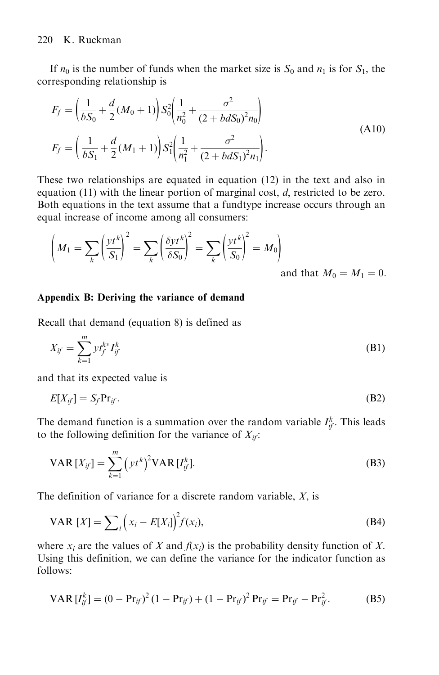If  $n_0$  is the number of funds when the market size is  $S_0$  and  $n_1$  is for  $S_1$ , the corresponding relationship is

$$
F_f = \left(\frac{1}{bS_0} + \frac{d}{2}(M_0 + 1)\right) S_0^2 \left(\frac{1}{n_0^2} + \frac{\sigma^2}{(2 + bdS_0)^2 n_0}\right)
$$
  
\n
$$
F_f = \left(\frac{1}{bS_1} + \frac{d}{2}(M_1 + 1)\right) S_1^2 \left(\frac{1}{n_1^2} + \frac{\sigma^2}{(2 + bdS_1)^2 n_1}\right).
$$
\n(A10)

These two relationships are equated in equation (12) in the text and also in equation (11) with the linear portion of marginal cost, d, restricted to be zero. Both equations in the text assume that a fundtype increase occurs through an equal increase of income among all consumers:

$$
\left(M_1 = \sum_{k} \left(\frac{y t^k}{S_1}\right)^2 = \sum_{k} \left(\frac{\delta y t^k}{\delta S_0}\right)^2 = \sum_{k} \left(\frac{y t^k}{S_0}\right)^2 = M_0
$$
\nand that  $M_0 = M_1 = 0$ .

## Appendix B: Deriving the variance of demand

Recall that demand (equation 8) is defined as

$$
X_{if} = \sum_{k=1}^{m} y t_f^{k*} I_{if}^k
$$
 (B1)

and that its expected value is

$$
E[X_{if}] = S_f \Pr_{if}.
$$
 (B2)

The demand function is a summation over the random variable  $I_{if}^{k}$ . This leads to the following definition for the variance of  $X_{if}$ :

$$
VAR [X_{if}] = \sum_{k=1}^{m} (yt^k)^2 VAR [I_{if}^k].
$$
 (B3)

The definition of variance for a discrete random variable,  $X$ , is

VAR 
$$
[X] = \sum_{i} \left( x_i - E[X_i] \right)^2 f(x_i),
$$
 (B4)

where  $x_i$  are the values of X and  $f(x_i)$  is the probability density function of X. Using this definition, we can define the variance for the indicator function as follows:

VAR 
$$
[I_{ij}^k] = (0 - \Pr_{ij})^2 (1 - \Pr_{ij}) + (1 - \Pr_{ij})^2 \Pr_{ij} = \Pr_{ij} - \Pr_{ij}^2
$$
. (B5)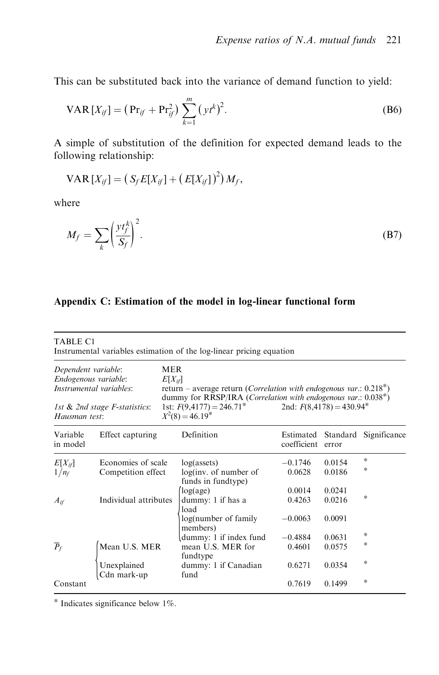This can be substituted back into the variance of demand function to yield:

VAR 
$$
[X_{if}] = (\Pr_{if} + \Pr_{if}^2) \sum_{k=1}^{m} (yt^k)^2
$$
. (B6)

A simple of substitution of the definition for expected demand leads to the following relationship:

$$
\mathrm{VAR}\left[X_{if}\right] = \left(S_f E[X_{if}]+ \left(E[X_{if}]\right)^2\right)M_f,
$$

where

$$
M_f = \sum_k \left(\frac{y t_f^k}{S_f}\right)^2.
$$
 (B7)

## Appendix C: Estimation of the model in log-linear functional form

| <b>TABLE C1</b>                                                                                                          |                                          | Instrumental variables estimation of the log-linear pricing equation                                                                                                                                                                                             |                                  |                            |                       |  |
|--------------------------------------------------------------------------------------------------------------------------|------------------------------------------|------------------------------------------------------------------------------------------------------------------------------------------------------------------------------------------------------------------------------------------------------------------|----------------------------------|----------------------------|-----------------------|--|
| Dependent variable:<br>Endogenous variable:<br>Instrumental variables:<br>1st & 2nd stage F-statistics:<br>Hausman test: |                                          | <b>MER</b><br>$E[X_{if}]$<br>return – average return ( <i>Correlation with endogenous var.</i> : $0.218^*$ )<br>dummy for RRSP/IRA (Correlation with endogenous var.: 0.038*)<br>1st: $F(9,4177) = 246.71^*$<br>2nd: $F(8,4178) = 430.94*$<br>$X^2(8) = 46.19^*$ |                                  |                            |                       |  |
| Variable<br>in model                                                                                                     | Effect capturing                         | Definition                                                                                                                                                                                                                                                       | Estimated<br>coefficient error   |                            | Standard Significance |  |
| $E[X_{if}]$<br>$1/n_f$                                                                                                   | Economies of scale<br>Competition effect | log(asserts)<br>log(inv. of number of<br>funds in fundtype)                                                                                                                                                                                                      | $-0.1746$<br>0.0628              | 0.0154<br>0.0186           | *<br>*                |  |
| $A_{if}$                                                                                                                 | Individual attributes                    | $\log(\text{age})$<br>dummy: 1 if has a<br>load                                                                                                                                                                                                                  | 0.0014<br>0.4263                 | 0.0241<br>0.0216           | $\ast$                |  |
| $\overline{P}_f$                                                                                                         | Mean U.S. MER                            | log(number of family<br>members)<br>dummy: 1 if index fund<br>mean U.S. MER for                                                                                                                                                                                  | $-0.0063$<br>$-0.4884$<br>0.4601 | 0.0091<br>0.0631<br>0.0575 | *<br>*                |  |
|                                                                                                                          | Unexplained<br>Cdn mark-up               | fundtype<br>dummy: 1 if Canadian<br>fund                                                                                                                                                                                                                         | 0.6271                           | 0.0354                     | *                     |  |
| Constant                                                                                                                 |                                          |                                                                                                                                                                                                                                                                  | 0.7619                           | 0.1499                     | *                     |  |

\* Indicates significance below 1%.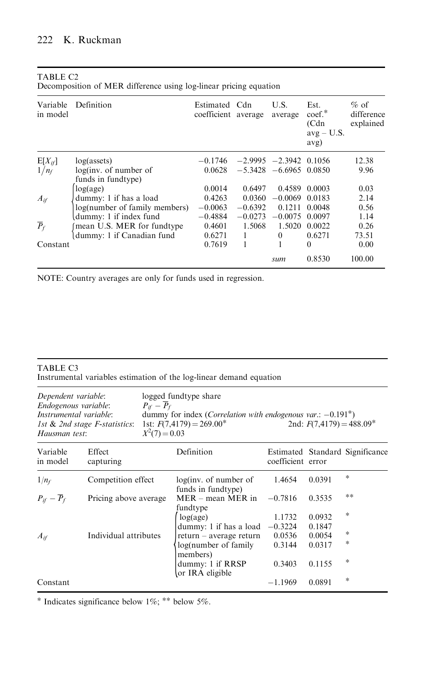## TABLE C2

Decomposition of MER difference using log-linear pricing equation

| Variable<br>in model | Definition                                  | Estimated Cdn<br>coefficient average |           | U.S.<br>average            | Est.<br>$\mathrm{coef.}^*$<br>(Cdn)<br>$avg - U.S.$<br>avg) | $%$ of<br>difference<br>explained |
|----------------------|---------------------------------------------|--------------------------------------|-----------|----------------------------|-------------------------------------------------------------|-----------------------------------|
| $E[X_{if}]$          | log(asserts)                                | $-0.1746$                            |           | $-2.9995$ $-2.3942$ 0.1056 |                                                             | 12.38                             |
| $1/n_f$              | log(inv. of number of<br>funds in fundtype) | 0.0628                               |           | $-5.3428 -6.6965 0.0850$   |                                                             | 9.96                              |
|                      | log(age)                                    | 0.0014                               | 0.6497    | 0.4589                     | 0.0003                                                      | 0.03                              |
| $A_{if}$             | dummy: 1 if has a load                      | 0.4263                               | 0.0360    | $-0.0069$                  | 0.0183                                                      | 2.14                              |
|                      | log(number of family members)               | $-0.0063$                            | $-0.6392$ | 0.1211                     | 0.0048                                                      | 0.56                              |
|                      | dummy: 1 if index fund                      | $-0.4884$                            | $-0.0273$ | $-0.0075$                  | 0.0097                                                      | 1.14                              |
| $\overline{P}_f$     | mean U.S. MER for fundtype                  | 0.4601                               | 1.5068    | 1.5020                     | 0.0022                                                      | 0.26                              |
|                      | dummy: 1 if Canadian fund                   | 0.6271                               | 1         | 0                          | 0.6271                                                      | 73.51                             |
| Constant             |                                             | 0.7619                               |           | 1                          | $\Omega$                                                    | 0.00                              |
|                      |                                             |                                      |           | sum                        | 0.8530                                                      | 100.00                            |

NOTE: Country averages are only for funds used in regression.

#### TABLE C3

Instrumental variables estimation of the log-linear demand equation

| Dependent variable:<br>Endogenous variable:<br>Instrumental variable:<br>1st $\&$ 2nd stage $F$ -statistics:<br>Hausman test: |                       | $P_{if}-P_f$<br>$X^2(7) = 0.03$ | logged fundtype share<br>dummy for index ( <i>Correlation with endogenous var.</i> : $-0.191^*$ )<br>1st: $F(7,4179) = 269.00^*$ |                   | 2nd: $F(7,4179) = 488.09^*$ |                                 |
|-------------------------------------------------------------------------------------------------------------------------------|-----------------------|---------------------------------|----------------------------------------------------------------------------------------------------------------------------------|-------------------|-----------------------------|---------------------------------|
| Variable<br>in model                                                                                                          | Effect<br>capturing   |                                 | Definition                                                                                                                       | coefficient error |                             | Estimated Standard Significance |
| $1/n_f$                                                                                                                       | Competition effect    |                                 | $log$ (inv. of number of<br>funds in fundtype)                                                                                   | 1.4654            | 0.0391                      | *                               |
| $P_{if} - \overline{P}_f$                                                                                                     | Pricing above average |                                 | $MER$ – mean MER in<br>fundtype                                                                                                  | $-0.7816$         | 0.3535                      | **                              |
|                                                                                                                               |                       |                                 | log(age)                                                                                                                         | 1.1732            | 0.0932                      | *                               |
|                                                                                                                               |                       |                                 | dummy: 1 if has a load                                                                                                           | $-0.3224$         | 0.1847                      |                                 |
| $A_{if}$                                                                                                                      | Individual attributes |                                 | $return - average return$                                                                                                        | 0.0536            | 0.0054                      | *                               |
|                                                                                                                               |                       |                                 | log(number of family<br>members)                                                                                                 | 0.3144            | 0.0317                      | *                               |
|                                                                                                                               |                       |                                 | dummy: 1 if RRSP<br>or IRA eligible                                                                                              | 0.3403            | 0.1155                      | *                               |
| Constant                                                                                                                      |                       |                                 |                                                                                                                                  | $-1.1969$         | 0.0891                      | *                               |

\* Indicates significance below  $1\%$ ; \*\* below 5%.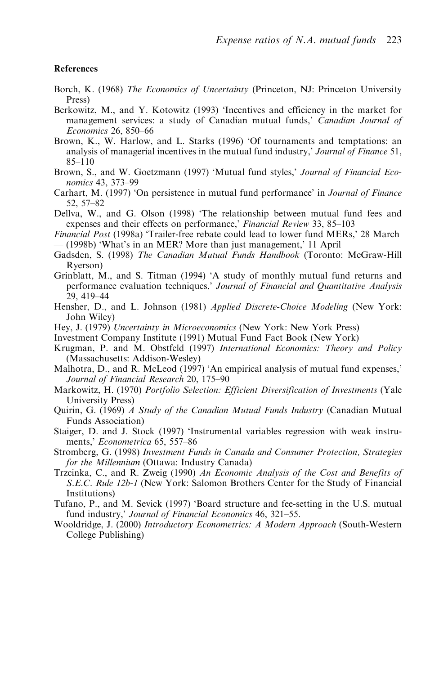## References

- Borch, K. (1968) The Economics of Uncertainty (Princeton, NJ: Princeton University Press)
- Berkowitz, M., and Y. Kotowitz (1993) 'Incentives and efficiency in the market for management services: a study of Canadian mutual funds,' Canadian Journal of Economics 26, 850–66
- Brown, K., W. Harlow, and L. Starks (1996) 'Of tournaments and temptations: an analysis of managerial incentives in the mutual fund industry,' Journal of Finance 51, 85–110
- Brown, S., and W. Goetzmann (1997) 'Mutual fund styles,' Journal of Financial Economics 43, 373–99
- Carhart, M. (1997) 'On persistence in mutual fund performance' in Journal of Finance 52, 57–82
- Dellva, W., and G. Olson (1998) 'The relationship between mutual fund fees and expenses and their effects on performance,' Financial Review 33, 85–103
- Financial Post (1998a) 'Trailer-free rebate could lead to lower fund MERs,' 28 March — (1998b) 'What's in an MER? More than just management,' 11 April
- Gadsden, S. (1998) The Canadian Mutual Funds Handbook (Toronto: McGraw-Hill Ryerson)
- Grinblatt, M., and S. Titman (1994) 'A study of monthly mutual fund returns and performance evaluation techniques,' Journal of Financial and Quantitative Analysis 29, 419–44
- Hensher, D., and L. Johnson (1981) Applied Discrete-Choice Modeling (New York: John Wiley)
- Hey, J. (1979) Uncertainty in Microeconomics (New York: New York Press)
- Investment Company Institute (1991) Mutual Fund Fact Book (New York)
- Krugman, P. and M. Obstfeld (1997) International Economics: Theory and Policy (Massachusetts: Addison-Wesley)
- Malhotra, D., and R. McLeod (1997) 'An empirical analysis of mutual fund expenses,' Journal of Financial Research 20, 175–90
- Markowitz, H. (1970) Portfolio Selection: Efficient Diversification of Investments (Yale University Press)
- Quirin, G. (1969) A Study of the Canadian Mutual Funds Industry (Canadian Mutual Funds Association)
- Staiger, D. and J. Stock (1997) 'Instrumental variables regression with weak instruments,' Econometrica 65, 557–86
- Stromberg, G. (1998) Investment Funds in Canada and Consumer Protection, Strategies for the Millennium (Ottawa: Industry Canada)
- Trzcinka, C., and R. Zweig (1990) An Economic Analysis of the Cost and Benefits of S.E.C. Rule 12b-1 (New York: Salomon Brothers Center for the Study of Financial Institutions)
- Tufano, P., and M. Sevick (1997) 'Board structure and fee-setting in the U.S. mutual fund industry,' Journal of Financial Economics 46, 321–55.
- Wooldridge, J. (2000) Introductory Econometrics: A Modern Approach (South-Western College Publishing)